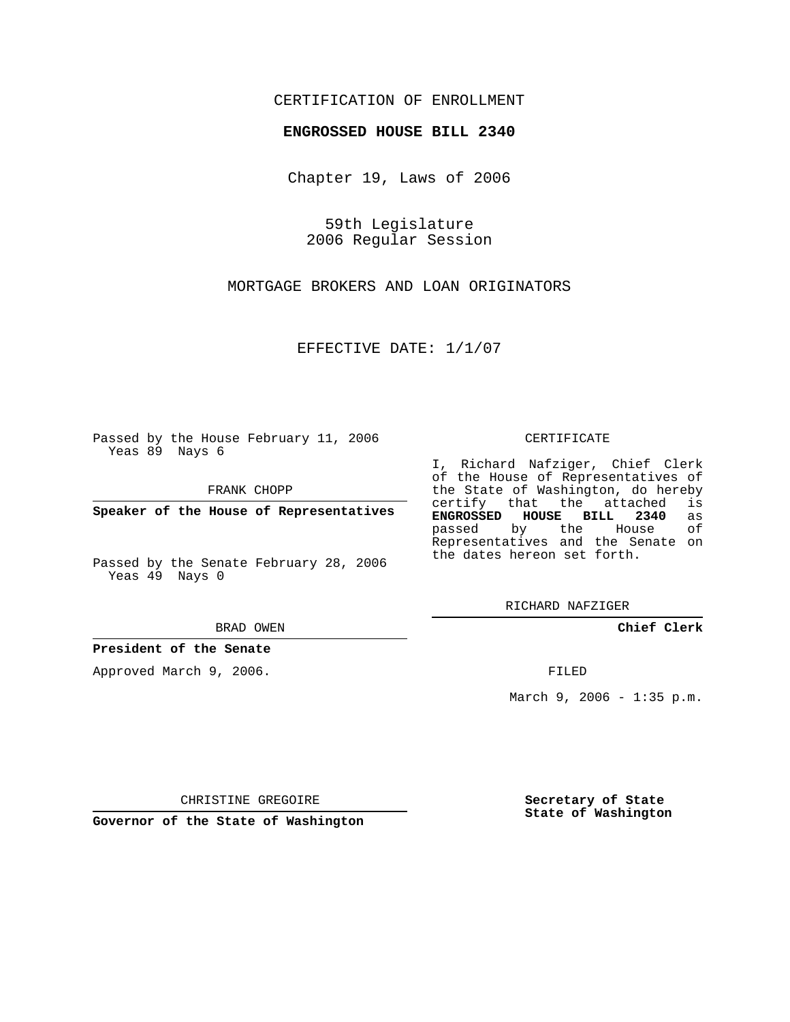### CERTIFICATION OF ENROLLMENT

#### **ENGROSSED HOUSE BILL 2340**

Chapter 19, Laws of 2006

59th Legislature 2006 Regular Session

MORTGAGE BROKERS AND LOAN ORIGINATORS

EFFECTIVE DATE: 1/1/07

Passed by the House February 11, 2006 Yeas 89 Nays 6

FRANK CHOPP

**Speaker of the House of Representatives**

Passed by the Senate February 28, 2006 Yeas 49 Nays 0

BRAD OWEN

**President of the Senate**

Approved March 9, 2006.

#### CERTIFICATE

I, Richard Nafziger, Chief Clerk of the House of Representatives of the State of Washington, do hereby<br>certify that the attached is certify that the attached **ENGROSSED HOUSE BILL 2340** as passed by the House Representatives and the Senate on the dates hereon set forth.

RICHARD NAFZIGER

**Chief Clerk**

FILED

March 9, 2006 - 1:35 p.m.

CHRISTINE GREGOIRE

**Governor of the State of Washington**

**Secretary of State State of Washington**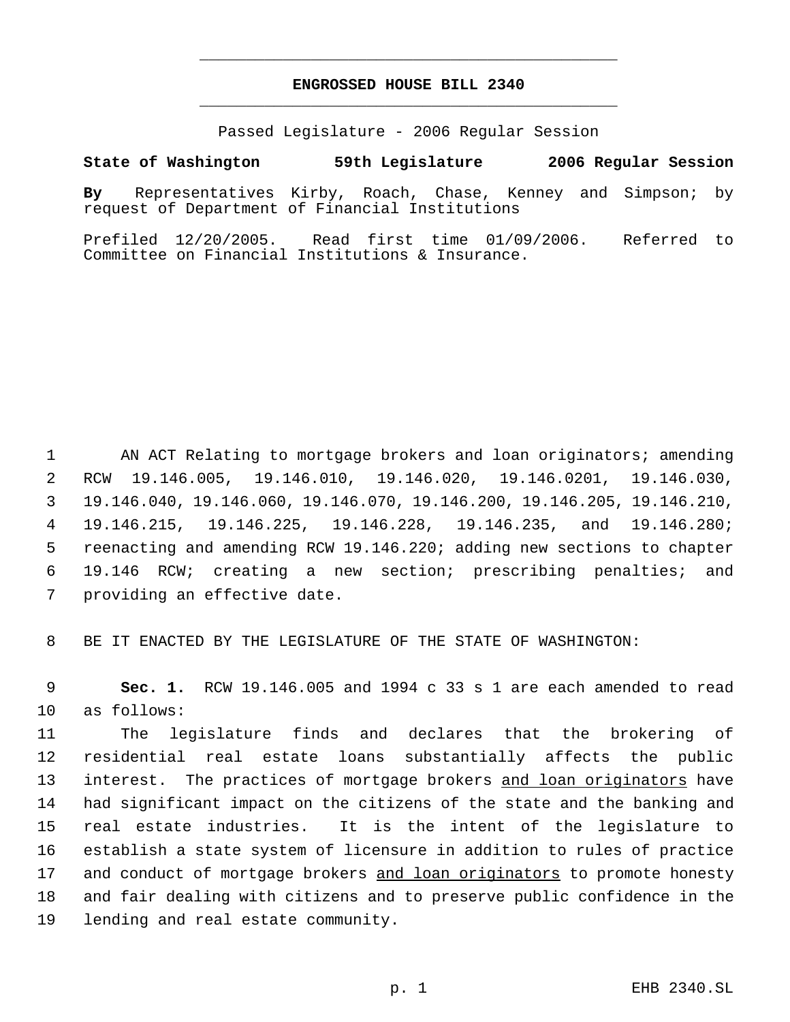## **ENGROSSED HOUSE BILL 2340** \_\_\_\_\_\_\_\_\_\_\_\_\_\_\_\_\_\_\_\_\_\_\_\_\_\_\_\_\_\_\_\_\_\_\_\_\_\_\_\_\_\_\_\_\_

\_\_\_\_\_\_\_\_\_\_\_\_\_\_\_\_\_\_\_\_\_\_\_\_\_\_\_\_\_\_\_\_\_\_\_\_\_\_\_\_\_\_\_\_\_

Passed Legislature - 2006 Regular Session

#### **State of Washington 59th Legislature 2006 Regular Session**

**By** Representatives Kirby, Roach, Chase, Kenney and Simpson; by request of Department of Financial Institutions

Prefiled 12/20/2005. Read first time 01/09/2006. Referred to Committee on Financial Institutions & Insurance.

 AN ACT Relating to mortgage brokers and loan originators; amending RCW 19.146.005, 19.146.010, 19.146.020, 19.146.0201, 19.146.030, 19.146.040, 19.146.060, 19.146.070, 19.146.200, 19.146.205, 19.146.210, 19.146.215, 19.146.225, 19.146.228, 19.146.235, and 19.146.280; reenacting and amending RCW 19.146.220; adding new sections to chapter 19.146 RCW; creating a new section; prescribing penalties; and providing an effective date.

BE IT ENACTED BY THE LEGISLATURE OF THE STATE OF WASHINGTON:

 **Sec. 1.** RCW 19.146.005 and 1994 c 33 s 1 are each amended to read as follows:

 The legislature finds and declares that the brokering of residential real estate loans substantially affects the public 13 interest. The practices of mortgage brokers and loan originators have had significant impact on the citizens of the state and the banking and real estate industries. It is the intent of the legislature to establish a state system of licensure in addition to rules of practice and conduct of mortgage brokers and loan originators to promote honesty and fair dealing with citizens and to preserve public confidence in the lending and real estate community.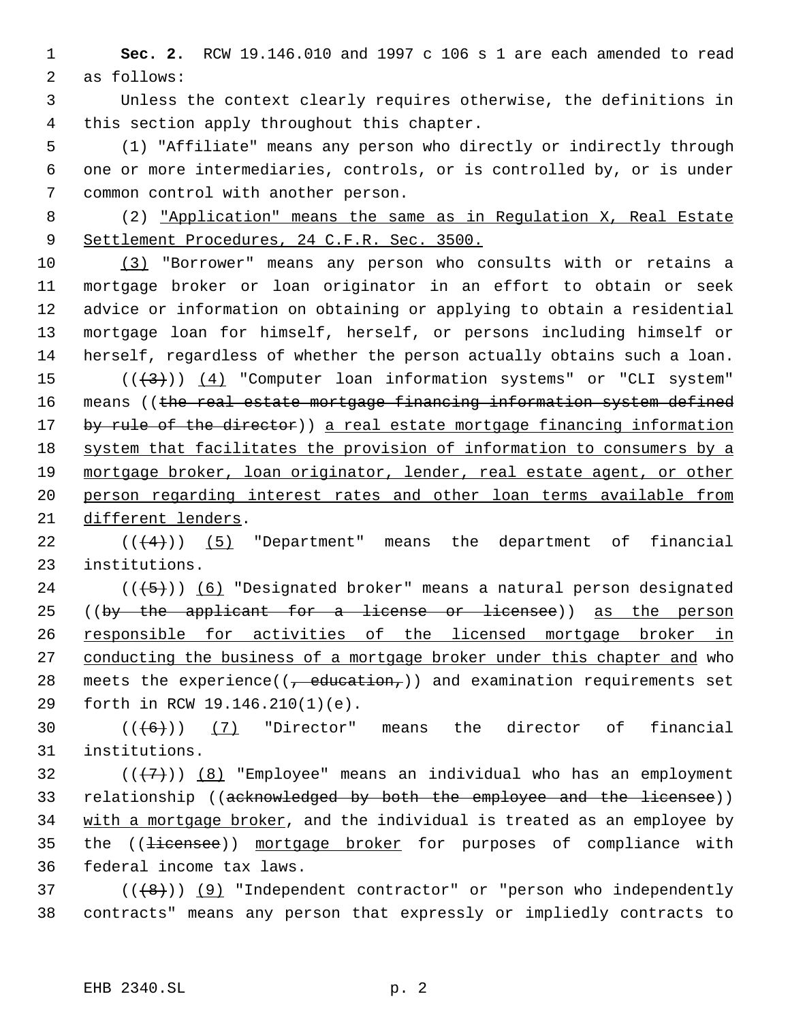1 **Sec. 2.** RCW 19.146.010 and 1997 c 106 s 1 are each amended to read 2 as follows:

 3 Unless the context clearly requires otherwise, the definitions in 4 this section apply throughout this chapter.

 5 (1) "Affiliate" means any person who directly or indirectly through 6 one or more intermediaries, controls, or is controlled by, or is under 7 common control with another person.

 8 (2) "Application" means the same as in Regulation X, Real Estate 9 Settlement Procedures, 24 C.F.R. Sec. 3500.

 (3) "Borrower" means any person who consults with or retains a mortgage broker or loan originator in an effort to obtain or seek advice or information on obtaining or applying to obtain a residential mortgage loan for himself, herself, or persons including himself or herself, regardless of whether the person actually obtains such a loan.  $((+3))$   $(4)$  "Computer loan information systems" or "CLI system" 16 means ((the real estate mortgage financing information system defined 17 by rule of the director)) a real estate mortgage financing information 18 system that facilitates the provision of information to consumers by a 19 mortgage broker, loan originator, lender, real estate agent, or other person regarding interest rates and other loan terms available from different lenders.

22  $((4+))$  (5) "Department" means the department of financial 23 institutions.

24  $((+5))$  (6) "Designated broker" means a natural person designated 25 ((by the applicant for a license or licensee)) as the person 26 responsible for activities of the licensed mortgage broker in 27 conducting the business of a mortgage broker under this chapter and who 28 meets the experience( $(-eduction<sub>r</sub>)$ ) and examination requirements set 29 forth in RCW 19.146.210(1)(e).

30  $((\lbrace 6 \rbrace))$  (7) "Director" means the director of financial 31 institutions.

32  $((+7))$   $(8)$  "Employee" means an individual who has an employment 33 relationship ((acknowledged by both the employee and the licensee)) 34 with a mortgage broker, and the individual is treated as an employee by 35 the ((<del>licensee</del>)) mortgage broker for purposes of compliance with 36 federal income tax laws.

 $37$  ( $(\overline{8})$ ) (9) "Independent contractor" or "person who independently 38 contracts" means any person that expressly or impliedly contracts to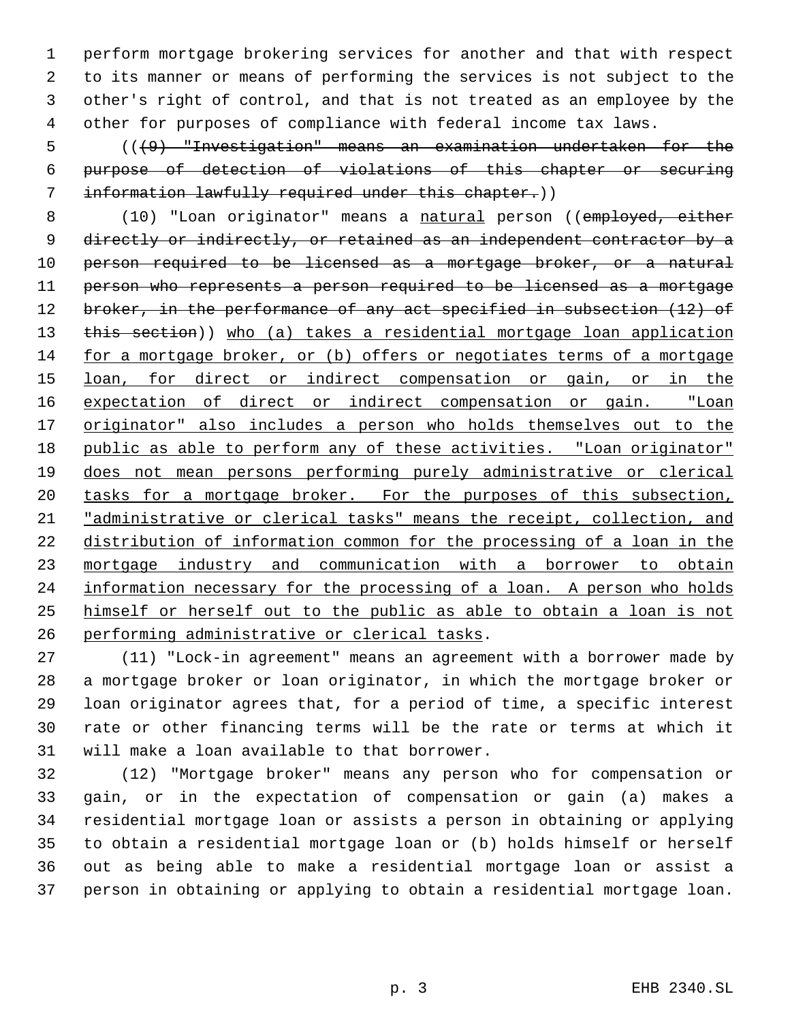perform mortgage brokering services for another and that with respect to its manner or means of performing the services is not subject to the other's right of control, and that is not treated as an employee by the other for purposes of compliance with federal income tax laws.

 (((9) "Investigation" means an examination undertaken for the purpose of detection of violations of this chapter or securing information lawfully required under this chapter.))

8 (10) "Loan originator" means a natural person ((employed, either directly or indirectly, or retained as an independent contractor by a person required to be licensed as a mortgage broker, or a natural person who represents a person required to be licensed as a mortgage 12 broker, in the performance of any act specified in subsection (12) of 13 this section)) who (a) takes a residential mortgage loan application for a mortgage broker, or (b) offers or negotiates terms of a mortgage 15 loan, for direct or indirect compensation or gain, or in the expectation of direct or indirect compensation or gain. "Loan 17 originator" also includes a person who holds themselves out to the 18 public as able to perform any of these activities. "Loan originator" does not mean persons performing purely administrative or clerical 20 tasks for a mortgage broker. For the purposes of this subsection, 21 "administrative or clerical tasks" means the receipt, collection, and distribution of information common for the processing of a loan in the mortgage industry and communication with a borrower to obtain 24 information necessary for the processing of a loan. A person who holds himself or herself out to the public as able to obtain a loan is not performing administrative or clerical tasks.

 (11) "Lock-in agreement" means an agreement with a borrower made by a mortgage broker or loan originator, in which the mortgage broker or loan originator agrees that, for a period of time, a specific interest rate or other financing terms will be the rate or terms at which it will make a loan available to that borrower.

 (12) "Mortgage broker" means any person who for compensation or gain, or in the expectation of compensation or gain (a) makes a residential mortgage loan or assists a person in obtaining or applying to obtain a residential mortgage loan or (b) holds himself or herself out as being able to make a residential mortgage loan or assist a person in obtaining or applying to obtain a residential mortgage loan.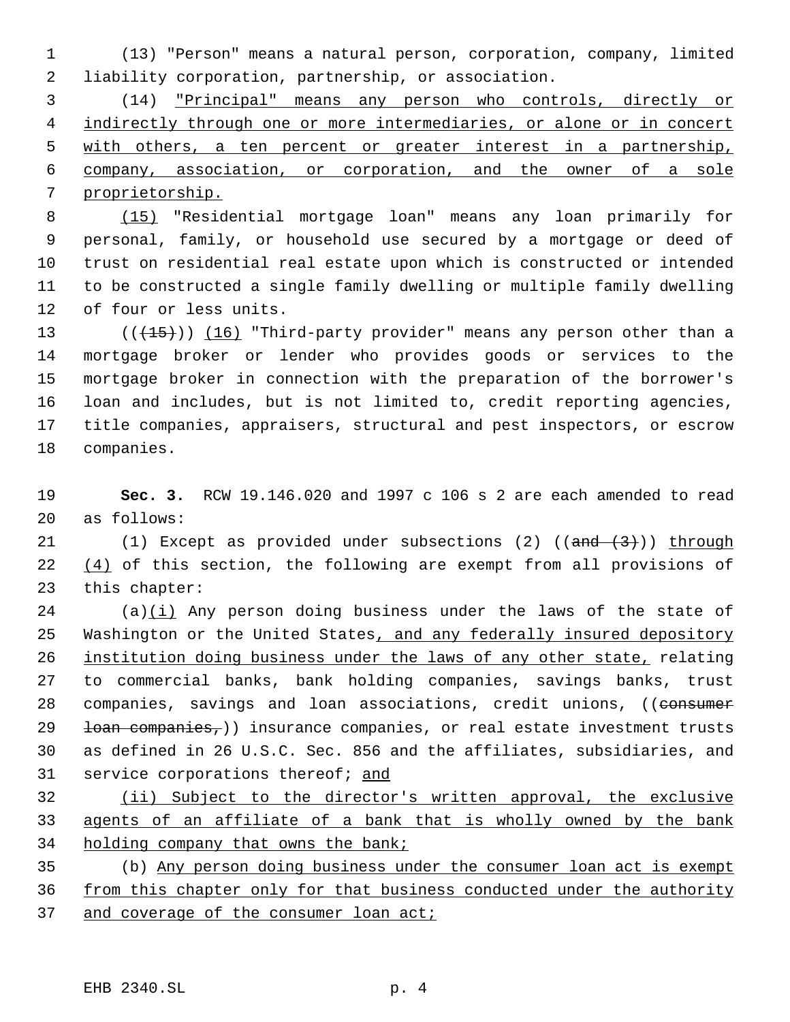(13) "Person" means a natural person, corporation, company, limited liability corporation, partnership, or association.

 (14) "Principal" means any person who controls, directly or 4 indirectly through one or more intermediaries, or alone or in concert with others, a ten percent or greater interest in a partnership, company, association, or corporation, and the owner of a sole proprietorship.

 (15) "Residential mortgage loan" means any loan primarily for personal, family, or household use secured by a mortgage or deed of trust on residential real estate upon which is constructed or intended to be constructed a single family dwelling or multiple family dwelling of four or less units.

13 ( $(\overline{+15})$ )  $\overline{16}$  "Third-party provider" means any person other than a mortgage broker or lender who provides goods or services to the mortgage broker in connection with the preparation of the borrower's loan and includes, but is not limited to, credit reporting agencies, title companies, appraisers, structural and pest inspectors, or escrow companies.

 **Sec. 3.** RCW 19.146.020 and 1997 c 106 s 2 are each amended to read as follows:

21 (1) Except as provided under subsections (2)  $(\text{and } (3))$  through 22  $(4)$  of this section, the following are exempt from all provisions of this chapter:

 (a)(i) Any person doing business under the laws of the state of 25 Washington or the United States, and any federally insured depository 26 institution doing business under the laws of any other state, relating to commercial banks, bank holding companies, savings banks, trust 28 companies, savings and loan associations, credit unions, ((consumer 29 <del>loan companies,</del>)) insurance companies, or real estate investment trusts as defined in 26 U.S.C. Sec. 856 and the affiliates, subsidiaries, and service corporations thereof; and

 (ii) Subject to the director's written approval, the exclusive agents of an affiliate of a bank that is wholly owned by the bank 34 holding company that owns the bank;

 (b) Any person doing business under the consumer loan act is exempt 36 from this chapter only for that business conducted under the authority 37 and coverage of the consumer loan act;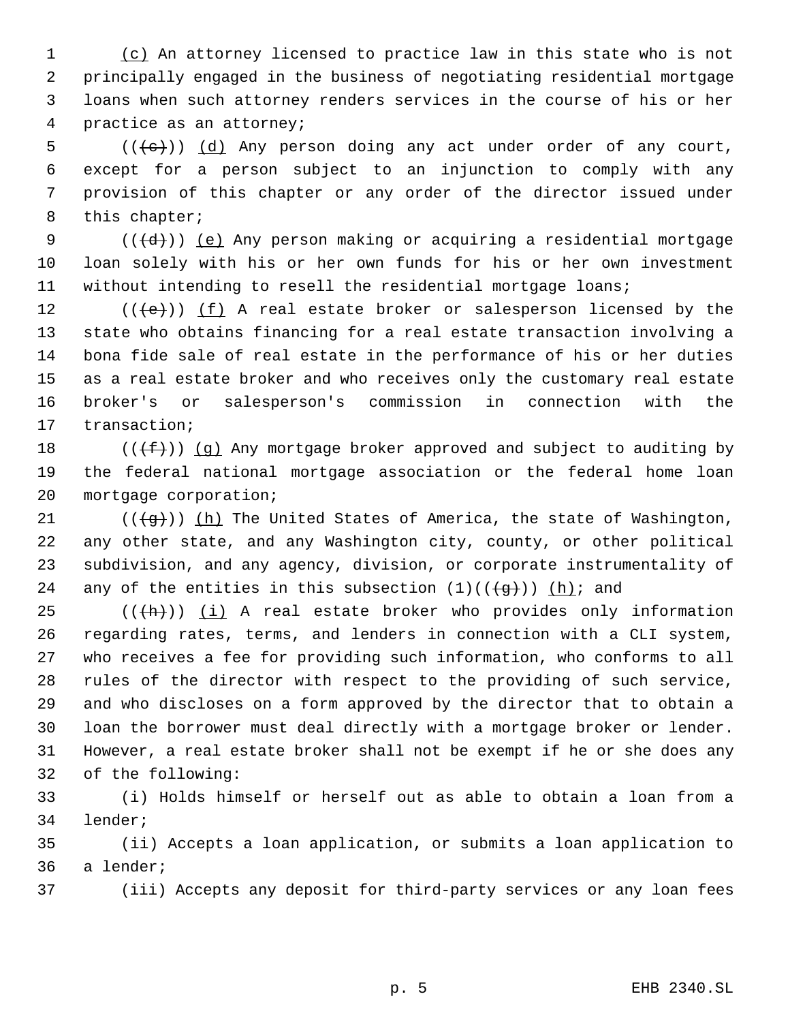1 (c) An attorney licensed to practice law in this state who is not principally engaged in the business of negotiating residential mortgage loans when such attorney renders services in the course of his or her practice as an attorney;

 (( $\left(\frac{1}{e}\right)$ ) (d) Any person doing any act under order of any court, except for a person subject to an injunction to comply with any provision of this chapter or any order of the director issued under this chapter;

9 ( $((d+))$  <u>(e)</u> Any person making or acquiring a residential mortgage loan solely with his or her own funds for his or her own investment without intending to resell the residential mortgage loans;

12 ( $(\langle e \rangle)$ ) (f) A real estate broker or salesperson licensed by the state who obtains financing for a real estate transaction involving a bona fide sale of real estate in the performance of his or her duties as a real estate broker and who receives only the customary real estate broker's or salesperson's commission in connection with the transaction;

18 ( $(\{\text{f}\})$ ) (g) Any mortgage broker approved and subject to auditing by the federal national mortgage association or the federal home loan mortgage corporation;

21 ( $(\overline{q})$ ) (h) The United States of America, the state of Washington, any other state, and any Washington city, county, or other political subdivision, and any agency, division, or corporate instrumentality of 24 any of the entities in this subsection  $(1)((\{g\}))$   $(h)$ ; and

 $((+h))$   $(i)$  A real estate broker who provides only information regarding rates, terms, and lenders in connection with a CLI system, who receives a fee for providing such information, who conforms to all rules of the director with respect to the providing of such service, and who discloses on a form approved by the director that to obtain a loan the borrower must deal directly with a mortgage broker or lender. However, a real estate broker shall not be exempt if he or she does any of the following:

 (i) Holds himself or herself out as able to obtain a loan from a lender;

 (ii) Accepts a loan application, or submits a loan application to a lender;

(iii) Accepts any deposit for third-party services or any loan fees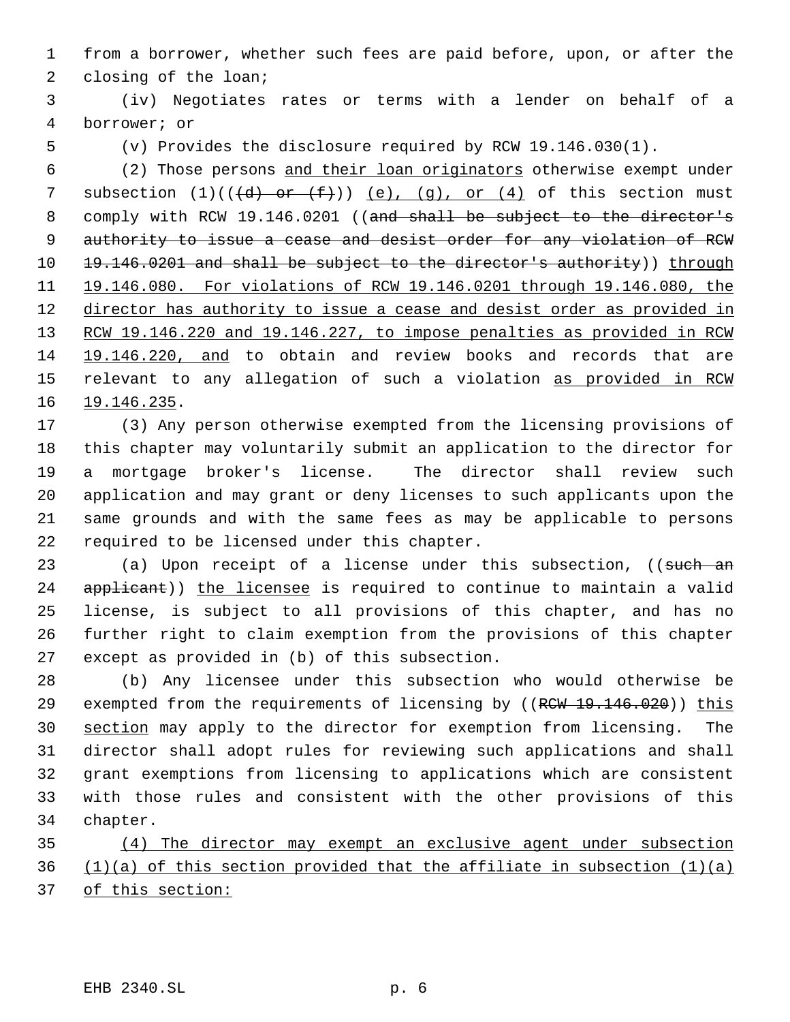from a borrower, whether such fees are paid before, upon, or after the closing of the loan;

 (iv) Negotiates rates or terms with a lender on behalf of a borrower; or

(v) Provides the disclosure required by RCW 19.146.030(1).

 (2) Those persons and their loan originators otherwise exempt under 7 subsection  $(1)((\{d\} - or \{f\}))$   $(e)$ ,  $(g)$ , or  $(4)$  of this section must 8 comply with RCW 19.146.0201 ((and shall be subject to the director's authority to issue a cease and desist order for any violation of RCW 10 19.146.0201 and shall be subject to the director's authority)) through 19.146.080. For violations of RCW 19.146.0201 through 19.146.080, the director has authority to issue a cease and desist order as provided in 13 RCW 19.146.220 and 19.146.227, to impose penalties as provided in RCW 19.146.220, and to obtain and review books and records that are 15 relevant to any allegation of such a violation as provided in RCW 19.146.235.

 (3) Any person otherwise exempted from the licensing provisions of this chapter may voluntarily submit an application to the director for a mortgage broker's license. The director shall review such application and may grant or deny licenses to such applicants upon the same grounds and with the same fees as may be applicable to persons required to be licensed under this chapter.

23 (a) Upon receipt of a license under this subsection, ((such an 24 applicant)) the licensee is required to continue to maintain a valid license, is subject to all provisions of this chapter, and has no further right to claim exemption from the provisions of this chapter except as provided in (b) of this subsection.

 (b) Any licensee under this subsection who would otherwise be 29 exempted from the requirements of licensing by ((RCW 19.146.020)) this section may apply to the director for exemption from licensing. The director shall adopt rules for reviewing such applications and shall grant exemptions from licensing to applications which are consistent with those rules and consistent with the other provisions of this chapter.

 (4) The director may exempt an exclusive agent under subsection (1)(a) of this section provided that the affiliate in subsection (1)(a) of this section: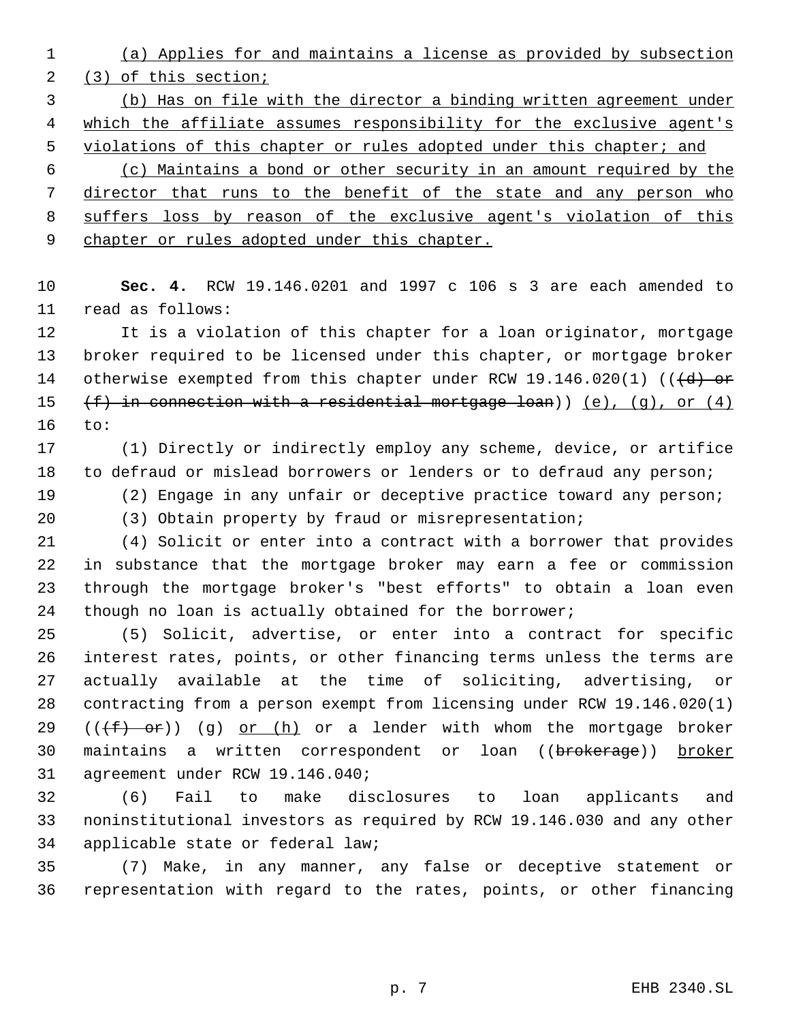(a) Applies for and maintains a license as provided by subsection (3) of this section;

 (b) Has on file with the director a binding written agreement under which the affiliate assumes responsibility for the exclusive agent's 5 violations of this chapter or rules adopted under this chapter; and

 (c) Maintains a bond or other security in an amount required by the director that runs to the benefit of the state and any person who 8 suffers loss by reason of the exclusive agent's violation of this 9 chapter or rules adopted under this chapter.

 **Sec. 4.** RCW 19.146.0201 and 1997 c 106 s 3 are each amended to read as follows:

 It is a violation of this chapter for a loan originator, mortgage broker required to be licensed under this chapter, or mortgage broker 14 otherwise exempted from this chapter under RCW 19.146.020(1) (((d) or 15  $(f)$  in connection with a residential mortgage loan)) (e), (q), or (4) to:

 (1) Directly or indirectly employ any scheme, device, or artifice to defraud or mislead borrowers or lenders or to defraud any person;

(2) Engage in any unfair or deceptive practice toward any person;

(3) Obtain property by fraud or misrepresentation;

 (4) Solicit or enter into a contract with a borrower that provides in substance that the mortgage broker may earn a fee or commission through the mortgage broker's "best efforts" to obtain a loan even though no loan is actually obtained for the borrower;

 (5) Solicit, advertise, or enter into a contract for specific interest rates, points, or other financing terms unless the terms are actually available at the time of soliciting, advertising, or contracting from a person exempt from licensing under RCW 19.146.020(1) 29 ( $(\overline{f} + \overline{f})$ ) (g) or (h) or a lender with whom the mortgage broker 30 maintains a written correspondent or loan ((brokerage)) broker agreement under RCW 19.146.040;

 (6) Fail to make disclosures to loan applicants and noninstitutional investors as required by RCW 19.146.030 and any other applicable state or federal law;

 (7) Make, in any manner, any false or deceptive statement or representation with regard to the rates, points, or other financing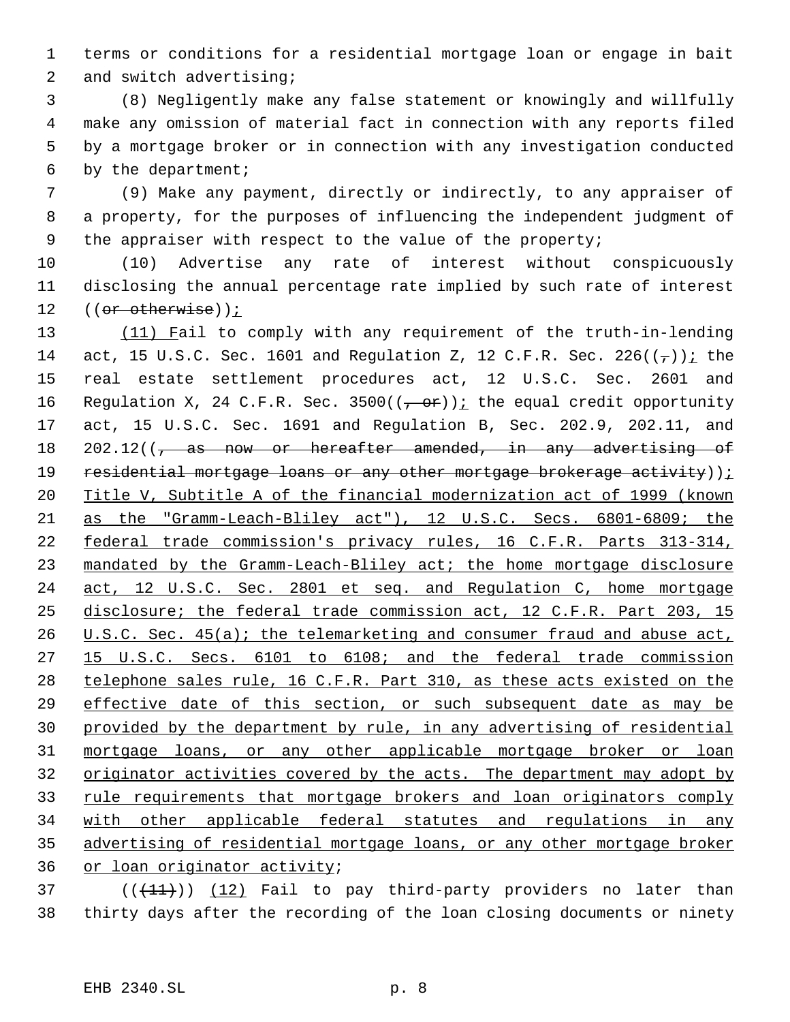terms or conditions for a residential mortgage loan or engage in bait and switch advertising;

 (8) Negligently make any false statement or knowingly and willfully make any omission of material fact in connection with any reports filed by a mortgage broker or in connection with any investigation conducted by the department;

 (9) Make any payment, directly or indirectly, to any appraiser of a property, for the purposes of influencing the independent judgment of the appraiser with respect to the value of the property;

 (10) Advertise any rate of interest without conspicuously disclosing the annual percentage rate implied by such rate of interest 12 ((or otherwise));

13 (11) Fail to comply with any requirement of the truth-in-lending 14 act, 15 U.S.C. Sec. 1601 and Requlation Z, 12 C.F.R. Sec. 226( $(\tau)$ ); the real estate settlement procedures act, 12 U.S.C. Sec. 2601 and 16 Regulation X, 24 C.F.R. Sec. 3500( $(-\text{or})$ ); the equal credit opportunity act, 15 U.S.C. Sec. 1691 and Regulation B, Sec. 202.9, 202.11, and 18 202.12(( $\frac{1}{7}$  as now or hereafter amended, in any advertising of 19 residential mortgage loans or any other mortgage brokerage activity)) $i$  Title V, Subtitle A of the financial modernization act of 1999 (known as the "Gramm-Leach-Bliley act"), 12 U.S.C. Secs. 6801-6809; the federal trade commission's privacy rules, 16 C.F.R. Parts 313-314, mandated by the Gramm-Leach-Bliley act; the home mortgage disclosure 24 act, 12 U.S.C. Sec. 2801 et seq. and Regulation C, home mortgage disclosure; the federal trade commission act, 12 C.F.R. Part 203, 15 26 U.S.C. Sec. 45(a); the telemarketing and consumer fraud and abuse act, 15 U.S.C. Secs. 6101 to 6108; and the federal trade commission telephone sales rule, 16 C.F.R. Part 310, as these acts existed on the effective date of this section, or such subsequent date as may be provided by the department by rule, in any advertising of residential mortgage loans, or any other applicable mortgage broker or loan 32 originator activities covered by the acts. The department may adopt by rule requirements that mortgage brokers and loan originators comply with other applicable federal statutes and regulations in any advertising of residential mortgage loans, or any other mortgage broker or loan originator activity;

 ( $(\overline{+11})$ )  $(12)$  Fail to pay third-party providers no later than thirty days after the recording of the loan closing documents or ninety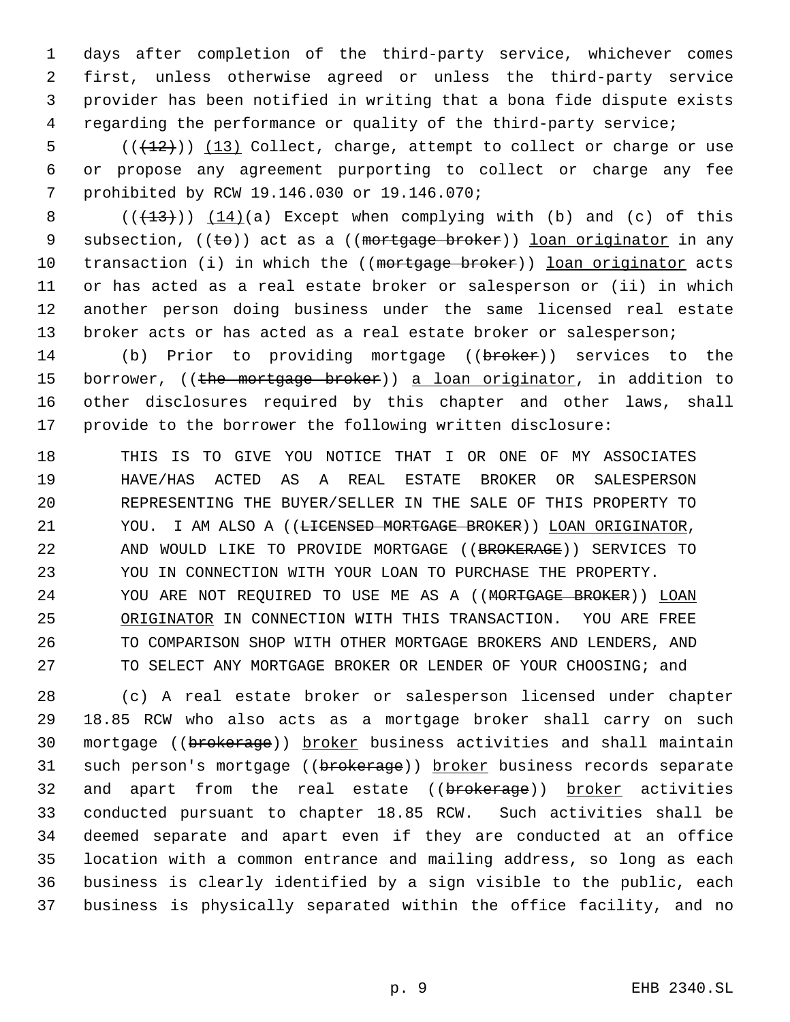days after completion of the third-party service, whichever comes first, unless otherwise agreed or unless the third-party service provider has been notified in writing that a bona fide dispute exists regarding the performance or quality of the third-party service;

 (( $\left(\frac{12}{12}\right)$ ) (13) Collect, charge, attempt to collect or charge or use or propose any agreement purporting to collect or charge any fee prohibited by RCW 19.146.030 or 19.146.070;

8  $((+13))$   $(14)(a)$  Except when complying with (b) and (c) of this 9 subsection,  $((\pm e))$  act as a  $((\text{mortrage between}))$  loan originator in any 10 transaction (i) in which the ((mortgage broker)) loan originator acts or has acted as a real estate broker or salesperson or (ii) in which another person doing business under the same licensed real estate 13 broker acts or has acted as a real estate broker or salesperson;

14 (b) Prior to providing mortgage ((broker)) services to the 15 borrower, ((the mortgage broker)) a loan originator, in addition to other disclosures required by this chapter and other laws, shall provide to the borrower the following written disclosure:

 THIS IS TO GIVE YOU NOTICE THAT I OR ONE OF MY ASSOCIATES HAVE/HAS ACTED AS A REAL ESTATE BROKER OR SALESPERSON REPRESENTING THE BUYER/SELLER IN THE SALE OF THIS PROPERTY TO 21 YOU. I AM ALSO A ((<del>LICENSED MORTGAGE BROKER</del>)) LOAN ORIGINATOR, AND WOULD LIKE TO PROVIDE MORTGAGE ((BROKERAGE)) SERVICES TO YOU IN CONNECTION WITH YOUR LOAN TO PURCHASE THE PROPERTY. YOU ARE NOT REQUIRED TO USE ME AS A ((MORTGAGE BROKER)) LOAN ORIGINATOR IN CONNECTION WITH THIS TRANSACTION. YOU ARE FREE TO COMPARISON SHOP WITH OTHER MORTGAGE BROKERS AND LENDERS, AND TO SELECT ANY MORTGAGE BROKER OR LENDER OF YOUR CHOOSING; and

 (c) A real estate broker or salesperson licensed under chapter 18.85 RCW who also acts as a mortgage broker shall carry on such 30 mortgage ((brokerage)) broker business activities and shall maintain 31 such person's mortgage ((brokerage)) broker business records separate 32 and apart from the real estate ((brokerage)) broker activities conducted pursuant to chapter 18.85 RCW. Such activities shall be deemed separate and apart even if they are conducted at an office location with a common entrance and mailing address, so long as each business is clearly identified by a sign visible to the public, each business is physically separated within the office facility, and no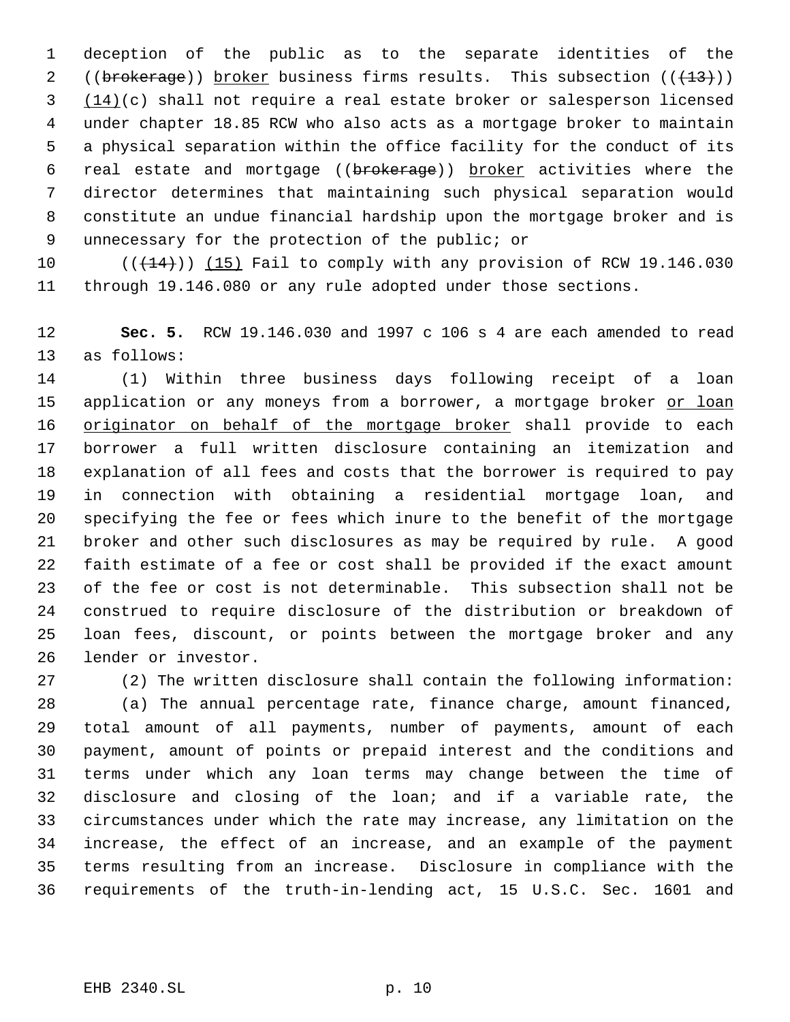deception of the public as to the separate identities of the 2 ((brokerage)) broker business firms results. This subsection (( $\left(\frac{13}{13}\right)$ ) (14)(c) shall not require a real estate broker or salesperson licensed under chapter 18.85 RCW who also acts as a mortgage broker to maintain a physical separation within the office facility for the conduct of its 6 real estate and mortgage ((brokerage)) broker activities where the director determines that maintaining such physical separation would constitute an undue financial hardship upon the mortgage broker and is unnecessary for the protection of the public; or

 $((+14))$  (15) Fail to comply with any provision of RCW 19.146.030 through 19.146.080 or any rule adopted under those sections.

 **Sec. 5.** RCW 19.146.030 and 1997 c 106 s 4 are each amended to read as follows:

 (1) Within three business days following receipt of a loan 15 application or any moneys from a borrower, a mortgage broker or loan 16 originator on behalf of the mortgage broker shall provide to each borrower a full written disclosure containing an itemization and explanation of all fees and costs that the borrower is required to pay in connection with obtaining a residential mortgage loan, and specifying the fee or fees which inure to the benefit of the mortgage broker and other such disclosures as may be required by rule. A good faith estimate of a fee or cost shall be provided if the exact amount of the fee or cost is not determinable. This subsection shall not be construed to require disclosure of the distribution or breakdown of loan fees, discount, or points between the mortgage broker and any lender or investor.

(2) The written disclosure shall contain the following information:

 (a) The annual percentage rate, finance charge, amount financed, total amount of all payments, number of payments, amount of each payment, amount of points or prepaid interest and the conditions and terms under which any loan terms may change between the time of disclosure and closing of the loan; and if a variable rate, the circumstances under which the rate may increase, any limitation on the increase, the effect of an increase, and an example of the payment terms resulting from an increase. Disclosure in compliance with the requirements of the truth-in-lending act, 15 U.S.C. Sec. 1601 and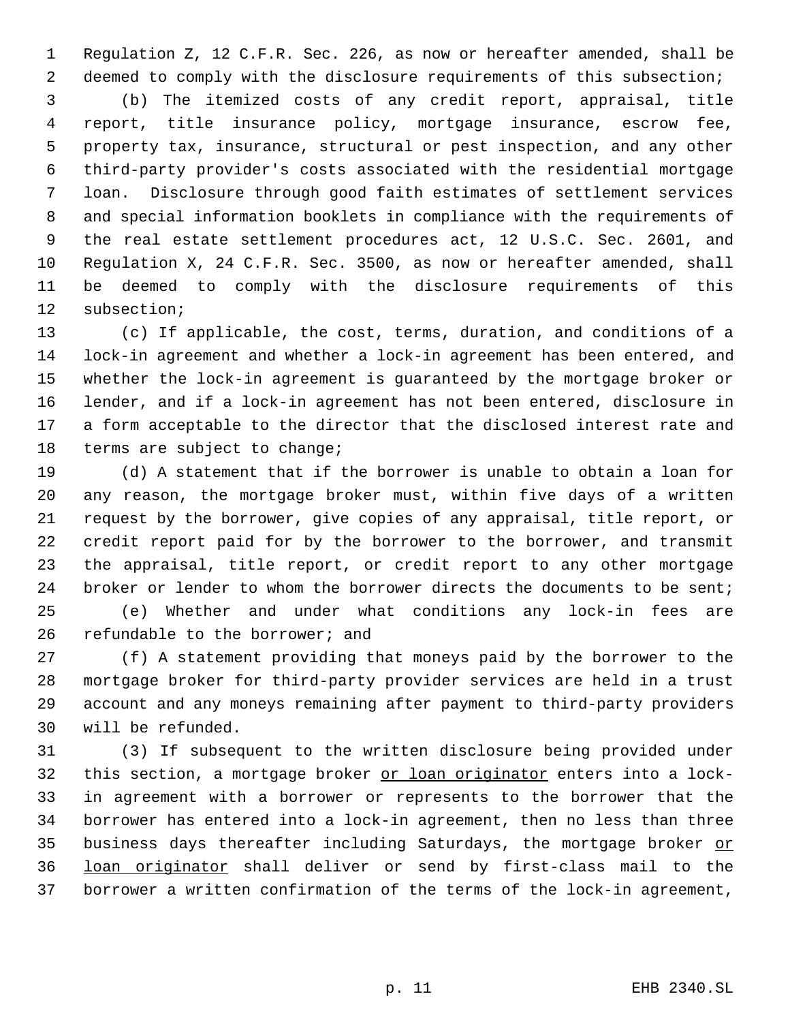Regulation Z, 12 C.F.R. Sec. 226, as now or hereafter amended, shall be deemed to comply with the disclosure requirements of this subsection;

 (b) The itemized costs of any credit report, appraisal, title report, title insurance policy, mortgage insurance, escrow fee, property tax, insurance, structural or pest inspection, and any other third-party provider's costs associated with the residential mortgage loan. Disclosure through good faith estimates of settlement services and special information booklets in compliance with the requirements of the real estate settlement procedures act, 12 U.S.C. Sec. 2601, and Regulation X, 24 C.F.R. Sec. 3500, as now or hereafter amended, shall be deemed to comply with the disclosure requirements of this subsection;

 (c) If applicable, the cost, terms, duration, and conditions of a lock-in agreement and whether a lock-in agreement has been entered, and whether the lock-in agreement is guaranteed by the mortgage broker or lender, and if a lock-in agreement has not been entered, disclosure in a form acceptable to the director that the disclosed interest rate and terms are subject to change;

 (d) A statement that if the borrower is unable to obtain a loan for any reason, the mortgage broker must, within five days of a written request by the borrower, give copies of any appraisal, title report, or credit report paid for by the borrower to the borrower, and transmit the appraisal, title report, or credit report to any other mortgage 24 broker or lender to whom the borrower directs the documents to be sent;

 (e) Whether and under what conditions any lock-in fees are refundable to the borrower; and

 (f) A statement providing that moneys paid by the borrower to the mortgage broker for third-party provider services are held in a trust account and any moneys remaining after payment to third-party providers will be refunded.

 (3) If subsequent to the written disclosure being provided under this section, a mortgage broker or loan originator enters into a lock- in agreement with a borrower or represents to the borrower that the borrower has entered into a lock-in agreement, then no less than three 35 business days thereafter including Saturdays, the mortgage broker or loan originator shall deliver or send by first-class mail to the borrower a written confirmation of the terms of the lock-in agreement,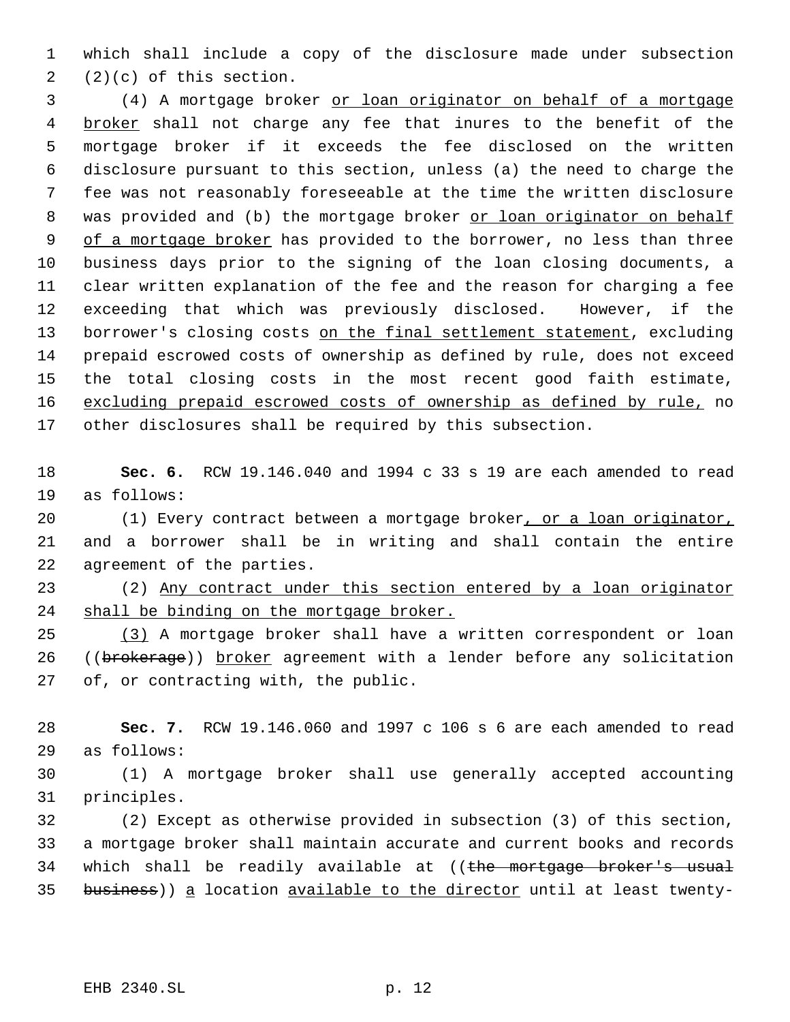which shall include a copy of the disclosure made under subsection  $2(2)(c)$  of this section.

 (4) A mortgage broker or loan originator on behalf of a mortgage 4 broker shall not charge any fee that inures to the benefit of the mortgage broker if it exceeds the fee disclosed on the written disclosure pursuant to this section, unless (a) the need to charge the fee was not reasonably foreseeable at the time the written disclosure 8 was provided and (b) the mortgage broker or loan originator on behalf 9 of a mortgage broker has provided to the borrower, no less than three business days prior to the signing of the loan closing documents, a clear written explanation of the fee and the reason for charging a fee exceeding that which was previously disclosed. However, if the 13 borrower's closing costs on the final settlement statement, excluding prepaid escrowed costs of ownership as defined by rule, does not exceed the total closing costs in the most recent good faith estimate, excluding prepaid escrowed costs of ownership as defined by rule, no other disclosures shall be required by this subsection.

 **Sec. 6.** RCW 19.146.040 and 1994 c 33 s 19 are each amended to read as follows:

 (1) Every contract between a mortgage broker, or a loan originator, and a borrower shall be in writing and shall contain the entire agreement of the parties.

 (2) Any contract under this section entered by a loan originator shall be binding on the mortgage broker.

 (3) A mortgage broker shall have a written correspondent or loan 26 ((brokerage)) broker agreement with a lender before any solicitation of, or contracting with, the public.

 **Sec. 7.** RCW 19.146.060 and 1997 c 106 s 6 are each amended to read as follows:

 (1) A mortgage broker shall use generally accepted accounting principles.

 (2) Except as otherwise provided in subsection (3) of this section, a mortgage broker shall maintain accurate and current books and records 34 which shall be readily available at ((the mortgage broker's usual 35 business)) a location available to the director until at least twenty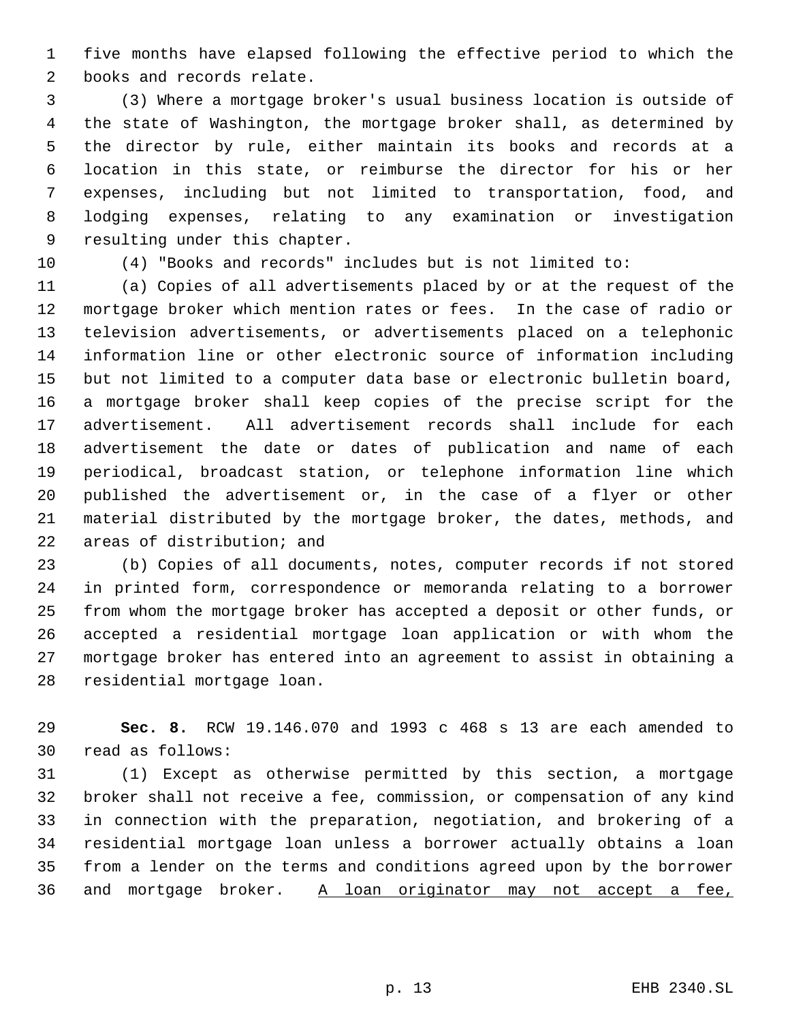five months have elapsed following the effective period to which the books and records relate.

 (3) Where a mortgage broker's usual business location is outside of the state of Washington, the mortgage broker shall, as determined by the director by rule, either maintain its books and records at a location in this state, or reimburse the director for his or her expenses, including but not limited to transportation, food, and lodging expenses, relating to any examination or investigation resulting under this chapter.

(4) "Books and records" includes but is not limited to:

 (a) Copies of all advertisements placed by or at the request of the mortgage broker which mention rates or fees. In the case of radio or television advertisements, or advertisements placed on a telephonic information line or other electronic source of information including but not limited to a computer data base or electronic bulletin board, a mortgage broker shall keep copies of the precise script for the advertisement. All advertisement records shall include for each advertisement the date or dates of publication and name of each periodical, broadcast station, or telephone information line which published the advertisement or, in the case of a flyer or other material distributed by the mortgage broker, the dates, methods, and areas of distribution; and

 (b) Copies of all documents, notes, computer records if not stored in printed form, correspondence or memoranda relating to a borrower from whom the mortgage broker has accepted a deposit or other funds, or accepted a residential mortgage loan application or with whom the mortgage broker has entered into an agreement to assist in obtaining a residential mortgage loan.

 **Sec. 8.** RCW 19.146.070 and 1993 c 468 s 13 are each amended to read as follows:

 (1) Except as otherwise permitted by this section, a mortgage broker shall not receive a fee, commission, or compensation of any kind in connection with the preparation, negotiation, and brokering of a residential mortgage loan unless a borrower actually obtains a loan from a lender on the terms and conditions agreed upon by the borrower 36 and mortgage broker. A loan originator may not accept a fee,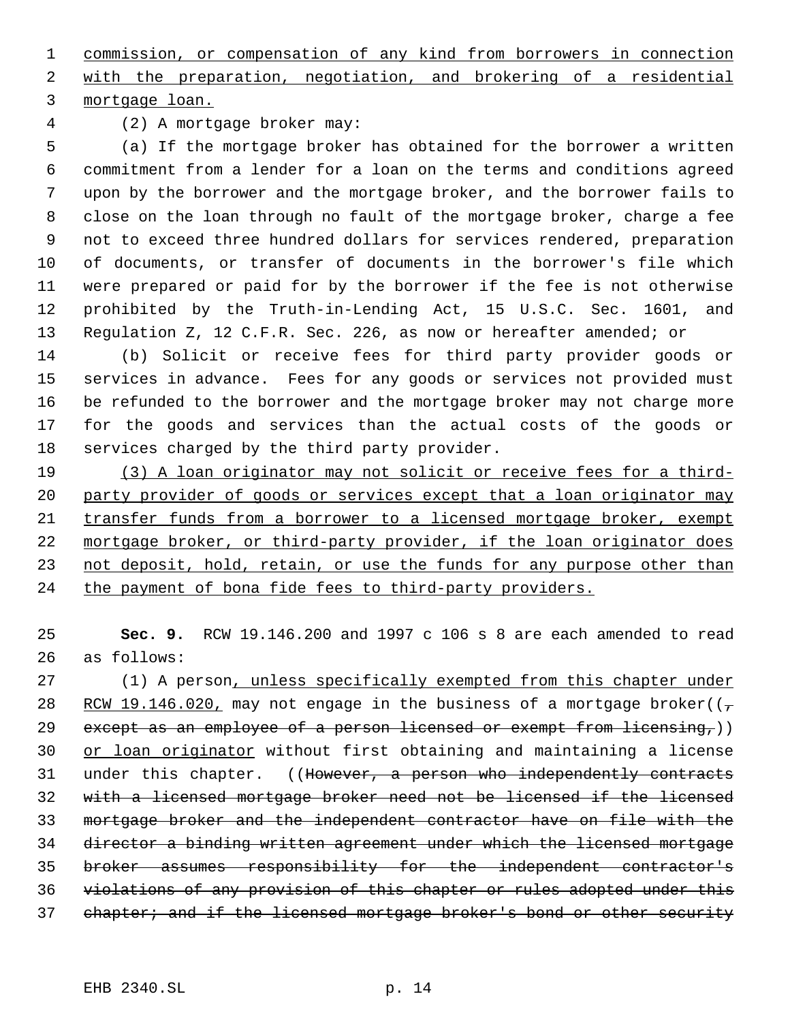commission, or compensation of any kind from borrowers in connection

 with the preparation, negotiation, and brokering of a residential mortgage loan.

(2) A mortgage broker may:

 (a) If the mortgage broker has obtained for the borrower a written commitment from a lender for a loan on the terms and conditions agreed upon by the borrower and the mortgage broker, and the borrower fails to close on the loan through no fault of the mortgage broker, charge a fee not to exceed three hundred dollars for services rendered, preparation of documents, or transfer of documents in the borrower's file which were prepared or paid for by the borrower if the fee is not otherwise prohibited by the Truth-in-Lending Act, 15 U.S.C. Sec. 1601, and Regulation Z, 12 C.F.R. Sec. 226, as now or hereafter amended; or

 (b) Solicit or receive fees for third party provider goods or services in advance. Fees for any goods or services not provided must be refunded to the borrower and the mortgage broker may not charge more for the goods and services than the actual costs of the goods or services charged by the third party provider.

19 (3) A loan originator may not solicit or receive fees for a third- party provider of goods or services except that a loan originator may transfer funds from a borrower to a licensed mortgage broker, exempt mortgage broker, or third-party provider, if the loan originator does 23 not deposit, hold, retain, or use the funds for any purpose other than 24 the payment of bona fide fees to third-party providers.

 **Sec. 9.** RCW 19.146.200 and 1997 c 106 s 8 are each amended to read as follows:

27 (1) A person, unless specifically exempted from this chapter under 28 RCW 19.146.020, may not engage in the business of a mortgage broker( $(\tau$ 29 except as an employee of a person licensed or exempt from licensing,)) 30 or loan originator without first obtaining and maintaining a license 31 under this chapter. ((However, a person who independently contracts with a licensed mortgage broker need not be licensed if the licensed mortgage broker and the independent contractor have on file with the director a binding written agreement under which the licensed mortgage broker assumes responsibility for the independent contractor's violations of any provision of this chapter or rules adopted under this 37 chapter; and if the licensed mortgage broker's bond or other security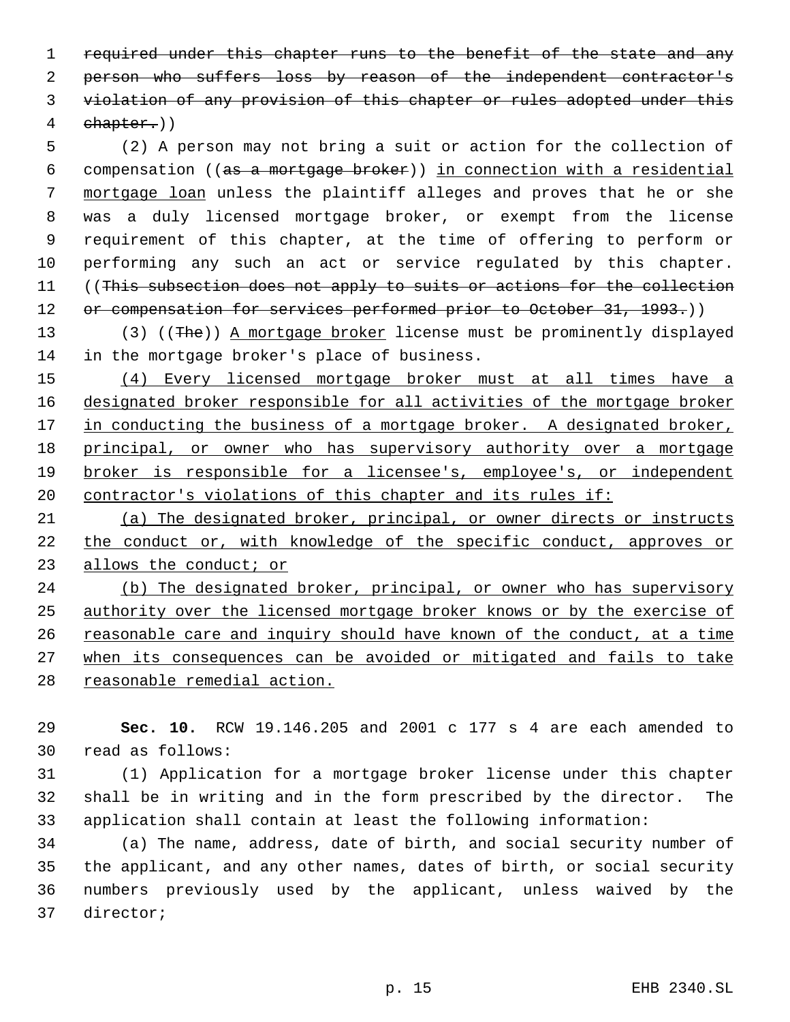required under this chapter runs to the benefit of the state and any 2 person who suffers loss by reason of the independent contractor's violation of any provision of this chapter or rules adopted under this chapter.))

 (2) A person may not bring a suit or action for the collection of compensation ((as a mortgage broker)) in connection with a residential mortgage loan unless the plaintiff alleges and proves that he or she was a duly licensed mortgage broker, or exempt from the license requirement of this chapter, at the time of offering to perform or performing any such an act or service regulated by this chapter. 11 ((This subsection does not apply to suits or actions for the collection 12 or compensation for services performed prior to October 31, 1993.))

13 (3) ((The)) A mortgage broker license must be prominently displayed in the mortgage broker's place of business.

 (4) Every licensed mortgage broker must at all times have a designated broker responsible for all activities of the mortgage broker 17 in conducting the business of a mortgage broker. A designated broker, 18 principal, or owner who has supervisory authority over a mortgage broker is responsible for a licensee's, employee's, or independent 20 contractor's violations of this chapter and its rules if:

 (a) The designated broker, principal, or owner directs or instructs the conduct or, with knowledge of the specific conduct, approves or allows the conduct; or

24 (b) The designated broker, principal, or owner who has supervisory authority over the licensed mortgage broker knows or by the exercise of 26 reasonable care and inquiry should have known of the conduct, at a time when its consequences can be avoided or mitigated and fails to take 28 reasonable remedial action.

 **Sec. 10.** RCW 19.146.205 and 2001 c 177 s 4 are each amended to read as follows:

 (1) Application for a mortgage broker license under this chapter shall be in writing and in the form prescribed by the director. The application shall contain at least the following information:

 (a) The name, address, date of birth, and social security number of the applicant, and any other names, dates of birth, or social security numbers previously used by the applicant, unless waived by the director;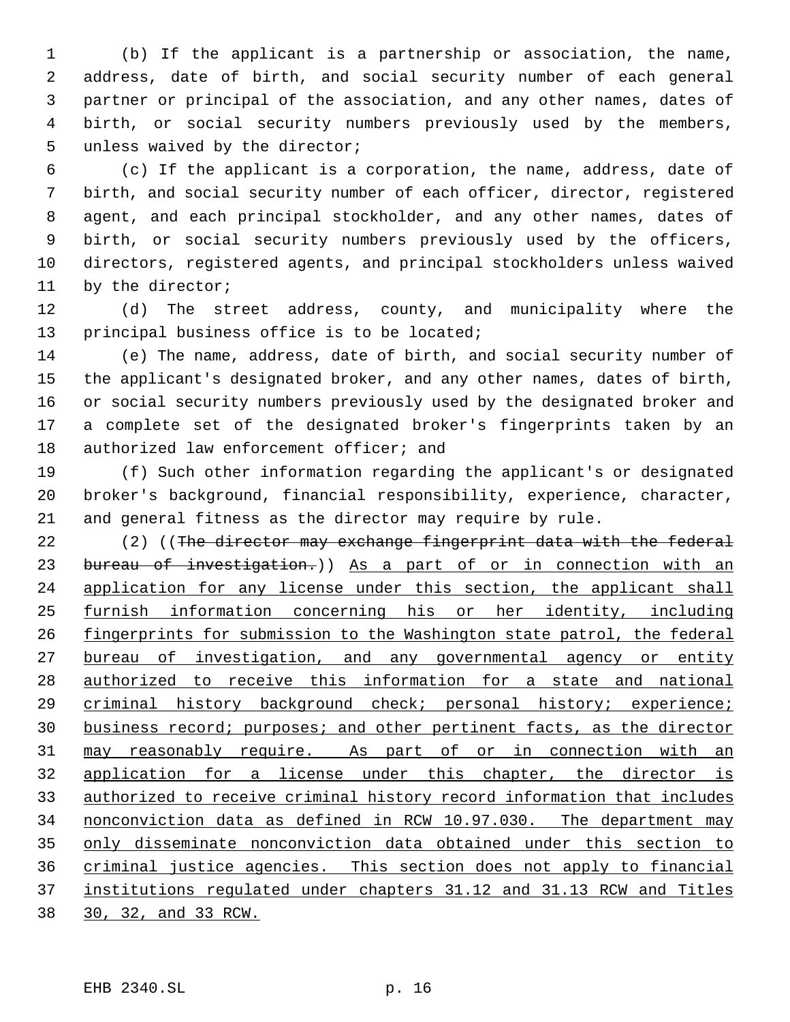(b) If the applicant is a partnership or association, the name, address, date of birth, and social security number of each general partner or principal of the association, and any other names, dates of birth, or social security numbers previously used by the members, unless waived by the director;

 (c) If the applicant is a corporation, the name, address, date of birth, and social security number of each officer, director, registered agent, and each principal stockholder, and any other names, dates of birth, or social security numbers previously used by the officers, directors, registered agents, and principal stockholders unless waived by the director;

 (d) The street address, county, and municipality where the principal business office is to be located;

 (e) The name, address, date of birth, and social security number of the applicant's designated broker, and any other names, dates of birth, or social security numbers previously used by the designated broker and a complete set of the designated broker's fingerprints taken by an 18 authorized law enforcement officer; and

 (f) Such other information regarding the applicant's or designated broker's background, financial responsibility, experience, character, and general fitness as the director may require by rule.

22 (2) ((The director may exchange fingerprint data with the federal 23 bureau of investigation.)) As a part of or in connection with an 24 application for any license under this section, the applicant shall furnish information concerning his or her identity, including 26 fingerprints for submission to the Washington state patrol, the federal bureau of investigation, and any governmental agency or entity authorized to receive this information for a state and national criminal history background check; personal history; experience; business record; purposes; and other pertinent facts, as the director may reasonably require. As part of or in connection with an application for a license under this chapter, the director is authorized to receive criminal history record information that includes nonconviction data as defined in RCW 10.97.030. The department may only disseminate nonconviction data obtained under this section to criminal justice agencies. This section does not apply to financial institutions regulated under chapters 31.12 and 31.13 RCW and Titles 30, 32, and 33 RCW.

EHB 2340.SL p. 16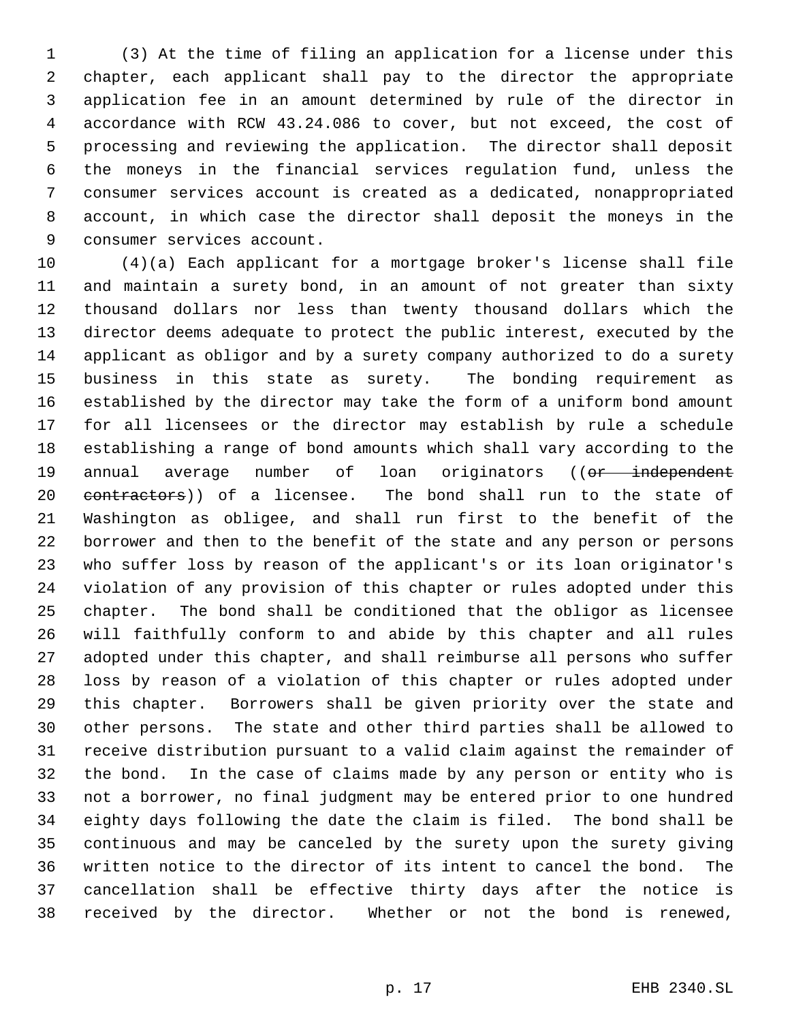(3) At the time of filing an application for a license under this chapter, each applicant shall pay to the director the appropriate application fee in an amount determined by rule of the director in accordance with RCW 43.24.086 to cover, but not exceed, the cost of processing and reviewing the application. The director shall deposit the moneys in the financial services regulation fund, unless the consumer services account is created as a dedicated, nonappropriated account, in which case the director shall deposit the moneys in the consumer services account.

 (4)(a) Each applicant for a mortgage broker's license shall file and maintain a surety bond, in an amount of not greater than sixty thousand dollars nor less than twenty thousand dollars which the director deems adequate to protect the public interest, executed by the applicant as obligor and by a surety company authorized to do a surety business in this state as surety. The bonding requirement as established by the director may take the form of a uniform bond amount for all licensees or the director may establish by rule a schedule establishing a range of bond amounts which shall vary according to the 19 annual average number of loan originators ((or independent 20 contractors)) of a licensee. The bond shall run to the state of Washington as obligee, and shall run first to the benefit of the borrower and then to the benefit of the state and any person or persons who suffer loss by reason of the applicant's or its loan originator's violation of any provision of this chapter or rules adopted under this chapter. The bond shall be conditioned that the obligor as licensee will faithfully conform to and abide by this chapter and all rules adopted under this chapter, and shall reimburse all persons who suffer loss by reason of a violation of this chapter or rules adopted under this chapter. Borrowers shall be given priority over the state and other persons. The state and other third parties shall be allowed to receive distribution pursuant to a valid claim against the remainder of the bond. In the case of claims made by any person or entity who is not a borrower, no final judgment may be entered prior to one hundred eighty days following the date the claim is filed. The bond shall be continuous and may be canceled by the surety upon the surety giving written notice to the director of its intent to cancel the bond. The cancellation shall be effective thirty days after the notice is received by the director. Whether or not the bond is renewed,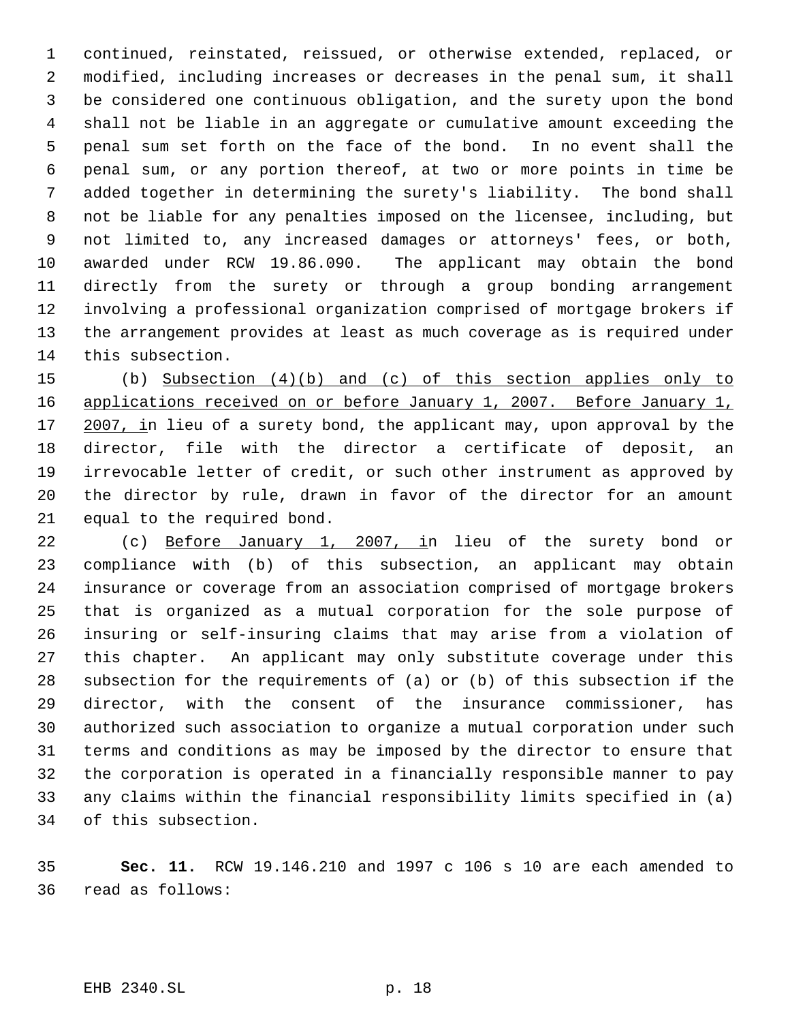continued, reinstated, reissued, or otherwise extended, replaced, or modified, including increases or decreases in the penal sum, it shall be considered one continuous obligation, and the surety upon the bond shall not be liable in an aggregate or cumulative amount exceeding the penal sum set forth on the face of the bond. In no event shall the penal sum, or any portion thereof, at two or more points in time be added together in determining the surety's liability. The bond shall not be liable for any penalties imposed on the licensee, including, but not limited to, any increased damages or attorneys' fees, or both, awarded under RCW 19.86.090. The applicant may obtain the bond directly from the surety or through a group bonding arrangement involving a professional organization comprised of mortgage brokers if the arrangement provides at least as much coverage as is required under this subsection.

 (b) Subsection (4)(b) and (c) of this section applies only to 16 applications received on or before January 1, 2007. Before January 1, 17 2007, in lieu of a surety bond, the applicant may, upon approval by the 18 director, file with the director a certificate of deposit, irrevocable letter of credit, or such other instrument as approved by the director by rule, drawn in favor of the director for an amount equal to the required bond.

22 (c) Before January 1, 2007, in lieu of the surety bond or compliance with (b) of this subsection, an applicant may obtain insurance or coverage from an association comprised of mortgage brokers that is organized as a mutual corporation for the sole purpose of insuring or self-insuring claims that may arise from a violation of this chapter. An applicant may only substitute coverage under this subsection for the requirements of (a) or (b) of this subsection if the director, with the consent of the insurance commissioner, has authorized such association to organize a mutual corporation under such terms and conditions as may be imposed by the director to ensure that the corporation is operated in a financially responsible manner to pay any claims within the financial responsibility limits specified in (a) of this subsection.

 **Sec. 11.** RCW 19.146.210 and 1997 c 106 s 10 are each amended to read as follows: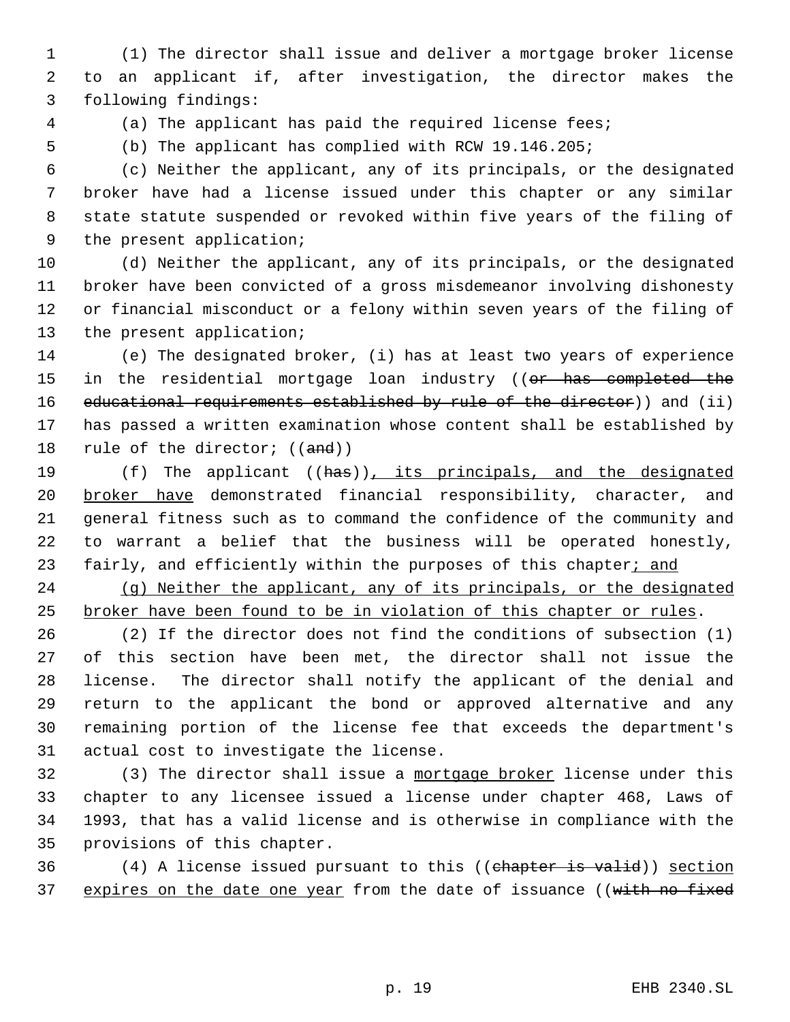(1) The director shall issue and deliver a mortgage broker license to an applicant if, after investigation, the director makes the following findings:

(a) The applicant has paid the required license fees;

(b) The applicant has complied with RCW 19.146.205;

 (c) Neither the applicant, any of its principals, or the designated broker have had a license issued under this chapter or any similar state statute suspended or revoked within five years of the filing of the present application;

 (d) Neither the applicant, any of its principals, or the designated broker have been convicted of a gross misdemeanor involving dishonesty or financial misconduct or a felony within seven years of the filing of the present application;

 (e) The designated broker, (i) has at least two years of experience 15 in the residential mortgage loan industry ((or has completed the 16 educational requirements established by rule of the director) and (ii) has passed a written examination whose content shall be established by 18 rule of the director;  $((and))$ 

19 (f) The applicant ((has)), its principals, and the designated 20 broker have demonstrated financial responsibility, character, and general fitness such as to command the confidence of the community and to warrant a belief that the business will be operated honestly, 23 fairly, and efficiently within the purposes of this chapter; and

 (g) Neither the applicant, any of its principals, or the designated broker have been found to be in violation of this chapter or rules.

 (2) If the director does not find the conditions of subsection (1) of this section have been met, the director shall not issue the license. The director shall notify the applicant of the denial and return to the applicant the bond or approved alternative and any remaining portion of the license fee that exceeds the department's actual cost to investigate the license.

32 (3) The director shall issue a mortgage broker license under this chapter to any licensee issued a license under chapter 468, Laws of 1993, that has a valid license and is otherwise in compliance with the provisions of this chapter.

 (4) A license issued pursuant to this ((chapter is valid)) section 37 expires on the date one year from the date of issuance ((with no fixed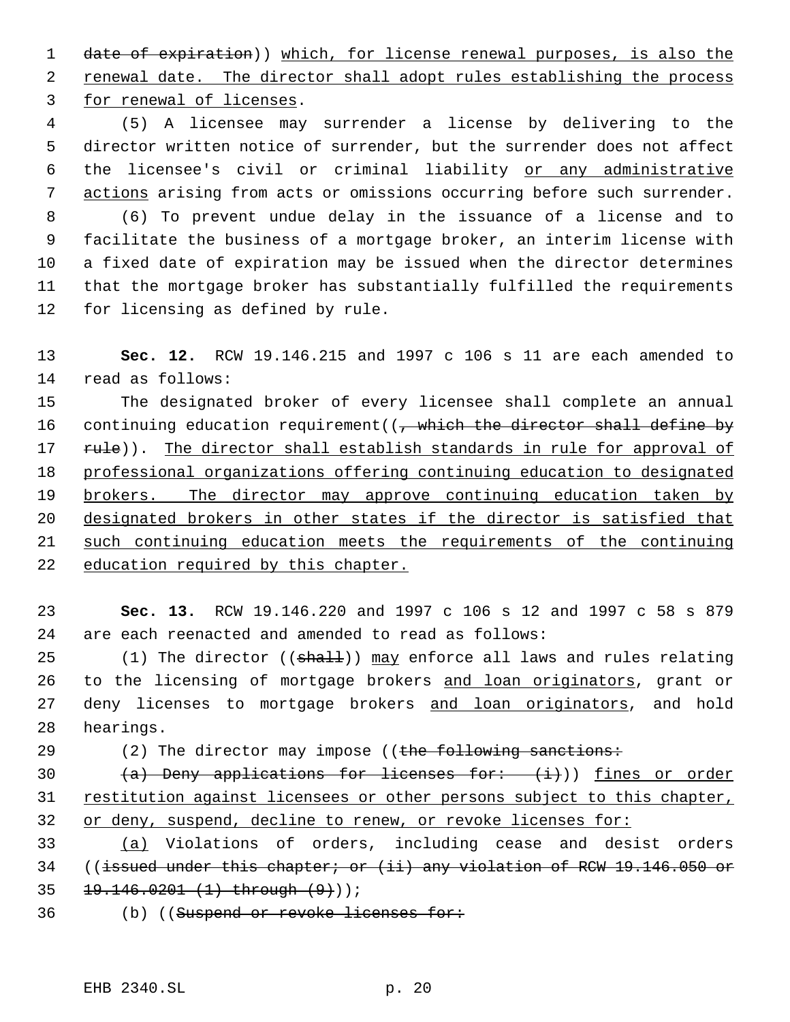date of expiration)) which, for license renewal purposes, is also the renewal date. The director shall adopt rules establishing the process for renewal of licenses.

 (5) A licensee may surrender a license by delivering to the director written notice of surrender, but the surrender does not affect the licensee's civil or criminal liability or any administrative 7 actions arising from acts or omissions occurring before such surrender. (6) To prevent undue delay in the issuance of a license and to facilitate the business of a mortgage broker, an interim license with a fixed date of expiration may be issued when the director determines that the mortgage broker has substantially fulfilled the requirements

- for licensing as defined by rule.
- **Sec. 12.** RCW 19.146.215 and 1997 c 106 s 11 are each amended to read as follows:

 The designated broker of every licensee shall complete an annual 16 continuing education requirement((, which the director shall define by 17 rule)). The director shall establish standards in rule for approval of professional organizations offering continuing education to designated 19 brokers. The director may approve continuing education taken by designated brokers in other states if the director is satisfied that such continuing education meets the requirements of the continuing education required by this chapter.

 **Sec. 13.** RCW 19.146.220 and 1997 c 106 s 12 and 1997 c 58 s 879 are each reenacted and amended to read as follows:

25  $(1)$  The director  $((shall))$  may enforce all laws and rules relating 26 to the licensing of mortgage brokers and loan originators, grant or 27 deny licenses to mortgage brokers and loan originators, and hold hearings.

29 (2) The director may impose ((the following sanctions:

30  $(a)$  Deny applications for licenses for:  $(i)$ ) fines or order restitution against licensees or other persons subject to this chapter, 32 or deny, suspend, decline to renew, or revoke licenses for:

 (a) Violations of orders, including cease and desist orders ((issued under this chapter; or (ii) any violation of RCW 19.146.050 or 19.146.0201 (1) through (9)));

36 (b) ((Suspend or revoke licenses for: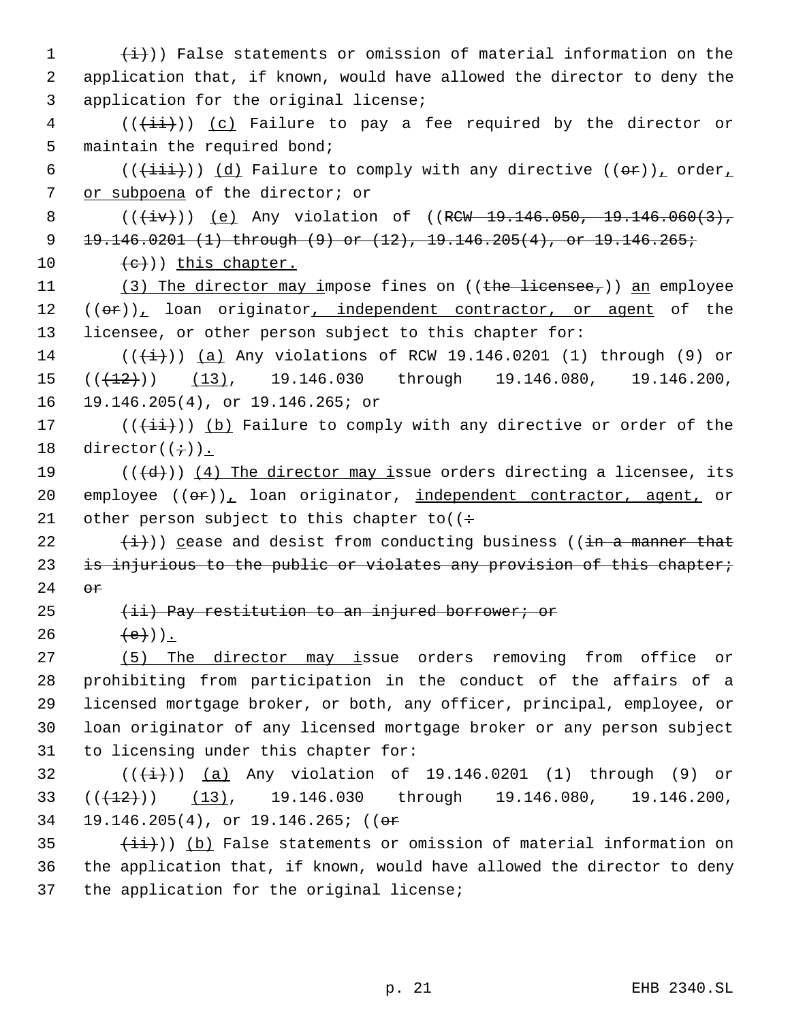$(\frac{1}{1})$ ) False statements or omission of material information on the application that, if known, would have allowed the director to deny the application for the original license; (( $\overline{(\overline{\{i\}}\})$ ) (c) Failure to pay a fee required by the director or maintain the required bond; 6 (( $(\frac{i}{i}$ ii)) (d) Failure to comply with any directive ((or)), order, or subpoena of the director; or 8 (( $\overline{(+iv)}$ )) (e) Any violation of ((RCW 19.146.050, 19.146.060(3), 19.146.0201 (1) through (9) or (12), 19.146.205(4), or 19.146.265;  $(e)$ ) this chapter. 11 (3) The director may impose fines on ((the licensee,)) an employee 12 ((or)), loan originator, independent contractor, or agent of the licensee, or other person subject to this chapter for: 14 ( $(\frac{1}{1})$ ) (a) Any violations of RCW 19.146.0201 (1) through (9) or  $((+12))$   $(13)$ , 19.146.030 through 19.146.080, 19.146.200, 19.146.205(4), or 19.146.265; or  $((\overrightarrow{\pm}i))$  (b) Failure to comply with any directive or order of the 18 director $((\div))$ . 19 ( $(\overline{d})$ ) (4) The director may issue orders directing a licensee, its 20 employee  $((\theta \cdot \hat{r}))_L$  loan originator, independent contractor, agent, or 21 other person subject to this chapter to  $($ :  $(\frac{i}{i})$ ) cease and desist from conducting business ((in a manner that 23 is injurious to the public or violates any provision of this chapter; 24 or 25 (ii) Pay restitution to an injured borrower; or 26  $(e)$ ). (5) The director may issue orders removing from office or prohibiting from participation in the conduct of the affairs of a licensed mortgage broker, or both, any officer, principal, employee, or loan originator of any licensed mortgage broker or any person subject to licensing under this chapter for:  $((\frac{1}{1})^2)(a)$  Any violation of 19.146.0201 (1) through (9) or  $(33 \cdot ((+12)) \cdot (13), 19.146.030 \cdot \text{through} 19.146.080, 19.146.200,$  19.146.205(4), or 19.146.265; ((or  $(iii)$ ) (b) False statements or omission of material information on the application that, if known, would have allowed the director to deny

37 the application for the original license;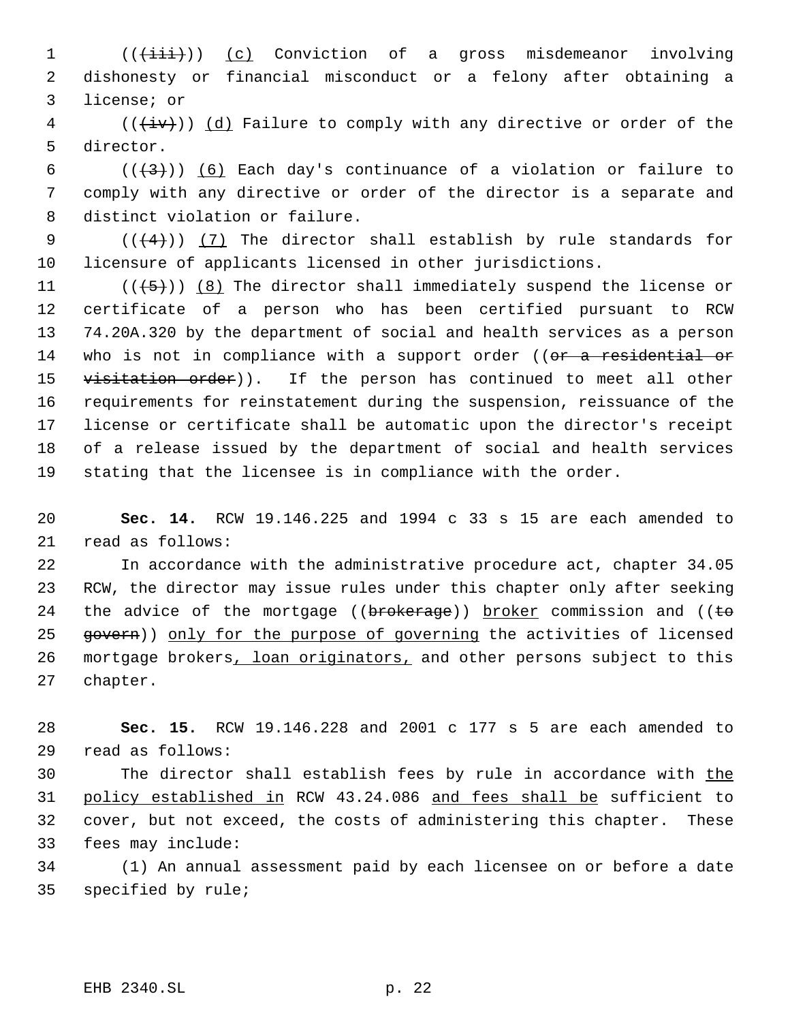1 (( $(i\text{iii})$ ) (c) Conviction of a gross misdemeanor involving dishonesty or financial misconduct or a felony after obtaining a license; or

 (( $\overleftrightarrow{iv}$ )) (d) Failure to comply with any directive or order of the director.

6 ( $(\frac{1}{3})$ ) (6) Each day's continuance of a violation or failure to comply with any directive or order of the director is a separate and distinct violation or failure.

9  $((+4))$   $(7)$  The director shall establish by rule standards for licensure of applicants licensed in other jurisdictions.

 $((\overline{5}))$   $(8)$  The director shall immediately suspend the license or certificate of a person who has been certified pursuant to RCW 74.20A.320 by the department of social and health services as a person 14 who is not in compliance with a support order ((or a residential or 15 visitation order)). If the person has continued to meet all other requirements for reinstatement during the suspension, reissuance of the license or certificate shall be automatic upon the director's receipt of a release issued by the department of social and health services stating that the licensee is in compliance with the order.

 **Sec. 14.** RCW 19.146.225 and 1994 c 33 s 15 are each amended to read as follows:

 In accordance with the administrative procedure act, chapter 34.05 RCW, the director may issue rules under this chapter only after seeking 24 the advice of the mortgage (( $b$ rokerage)) broker commission and (( $t$ o 25 govern)) only for the purpose of governing the activities of licensed 26 mortgage brokers, loan originators, and other persons subject to this chapter.

 **Sec. 15.** RCW 19.146.228 and 2001 c 177 s 5 are each amended to read as follows:

 The director shall establish fees by rule in accordance with the policy established in RCW 43.24.086 and fees shall be sufficient to cover, but not exceed, the costs of administering this chapter. These fees may include:

 (1) An annual assessment paid by each licensee on or before a date specified by rule;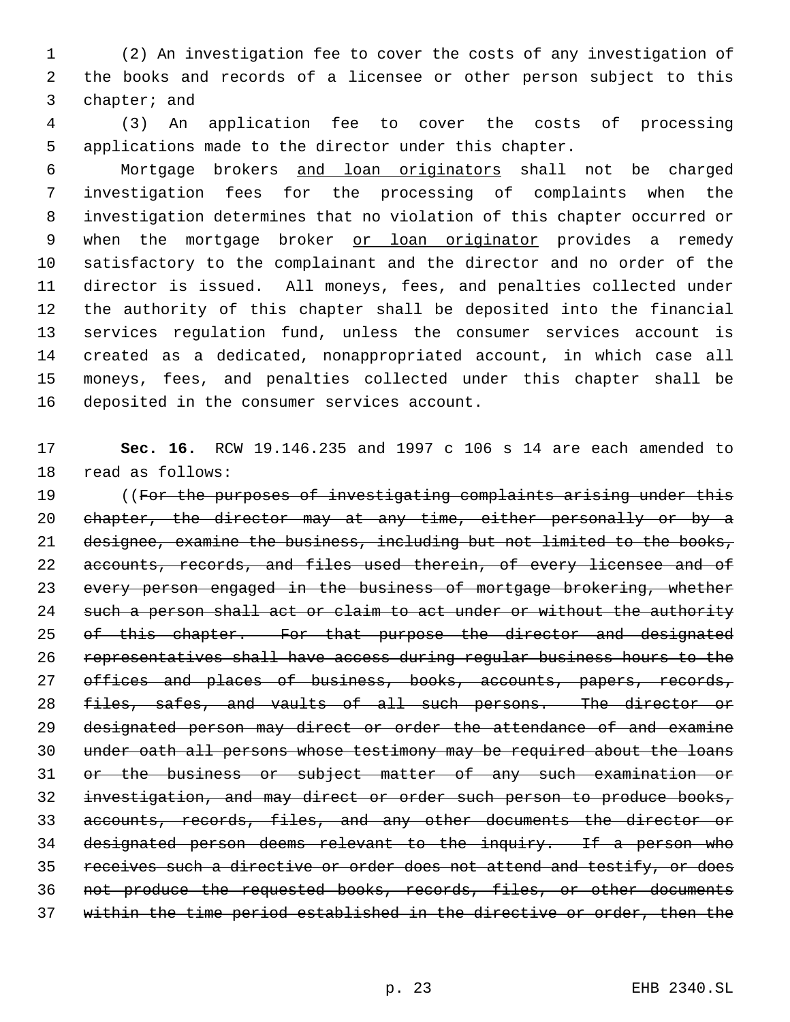(2) An investigation fee to cover the costs of any investigation of the books and records of a licensee or other person subject to this chapter; and

 (3) An application fee to cover the costs of processing applications made to the director under this chapter.

 Mortgage brokers and loan originators shall not be charged investigation fees for the processing of complaints when the investigation determines that no violation of this chapter occurred or 9 when the mortgage broker or loan originator provides a remedy satisfactory to the complainant and the director and no order of the director is issued. All moneys, fees, and penalties collected under the authority of this chapter shall be deposited into the financial services regulation fund, unless the consumer services account is created as a dedicated, nonappropriated account, in which case all moneys, fees, and penalties collected under this chapter shall be deposited in the consumer services account.

 **Sec. 16.** RCW 19.146.235 and 1997 c 106 s 14 are each amended to read as follows:

19 ((For the purposes of investigating complaints arising under this 20 chapter, the director may at any time, either personally or by a 21 designee, examine the business, including but not limited to the books, 22 accounts, records, and files used therein, of every licensee and of every person engaged in the business of mortgage brokering, whether 24 such a person shall act or claim to act under or without the authority 25 of this chapter. For that purpose the director and designated representatives shall have access during regular business hours to the 27 offices and places of business, books, accounts, papers, records, files, safes, and vaults of all such persons. The director or designated person may direct or order the attendance of and examine under oath all persons whose testimony may be required about the loans or the business or subject matter of any such examination or investigation, and may direct or order such person to produce books, accounts, records, files, and any other documents the director or designated person deems relevant to the inquiry. If a person who receives such a directive or order does not attend and testify, or does not produce the requested books, records, files, or other documents within the time period established in the directive or order, then the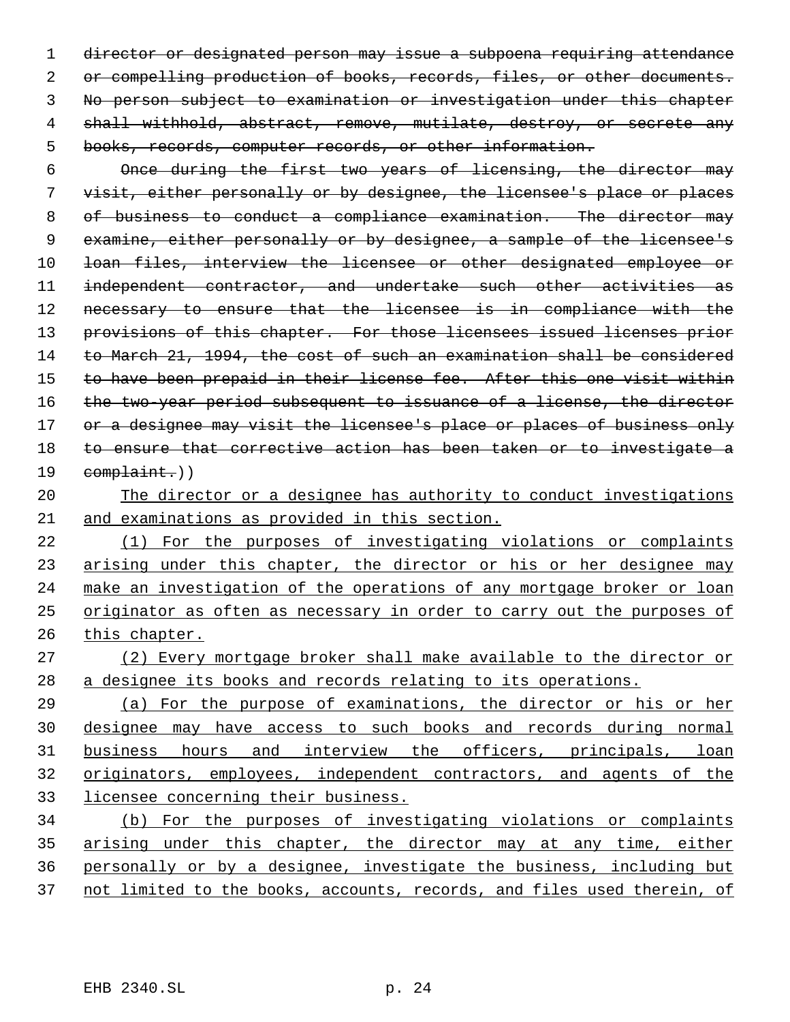director or designated person may issue a subpoena requiring attendance 2 or compelling production of books, records, files, or other documents. No person subject to examination or investigation under this chapter 4 shall withhold, abstract, remove, mutilate, destroy, or secrete any books, records, computer records, or other information.

 Once during the first two years of licensing, the director may visit, either personally or by designee, the licensee's place or places 8 of business to conduct a compliance examination. The director may examine, either personally or by designee, a sample of the licensee's loan files, interview the licensee or other designated employee or independent contractor, and undertake such other activities as necessary to ensure that the licensee is in compliance with the 13 provisions of this chapter. For those licensees issued licenses prior to March 21, 1994, the cost of such an examination shall be considered to have been prepaid in their license fee. After this one visit within 16 the two-year period subsequent to issuance of a license, the director 17 or a designee may visit the licensee's place or places of business only to ensure that corrective action has been taken or to investigate a 19 complaint.))

# The director or a designee has authority to conduct investigations

and examinations as provided in this section.

 (1) For the purposes of investigating violations or complaints 23 arising under this chapter, the director or his or her designee may 24 make an investigation of the operations of any mortgage broker or loan originator as often as necessary in order to carry out the purposes of this chapter.

 (2) Every mortgage broker shall make available to the director or a designee its books and records relating to its operations.

 (a) For the purpose of examinations, the director or his or her designee may have access to such books and records during normal 31 business hours and interview the officers, principals, loan originators, employees, independent contractors, and agents of the licensee concerning their business.

 (b) For the purposes of investigating violations or complaints arising under this chapter, the director may at any time, either personally or by a designee, investigate the business, including but 37 not limited to the books, accounts, records, and files used therein, of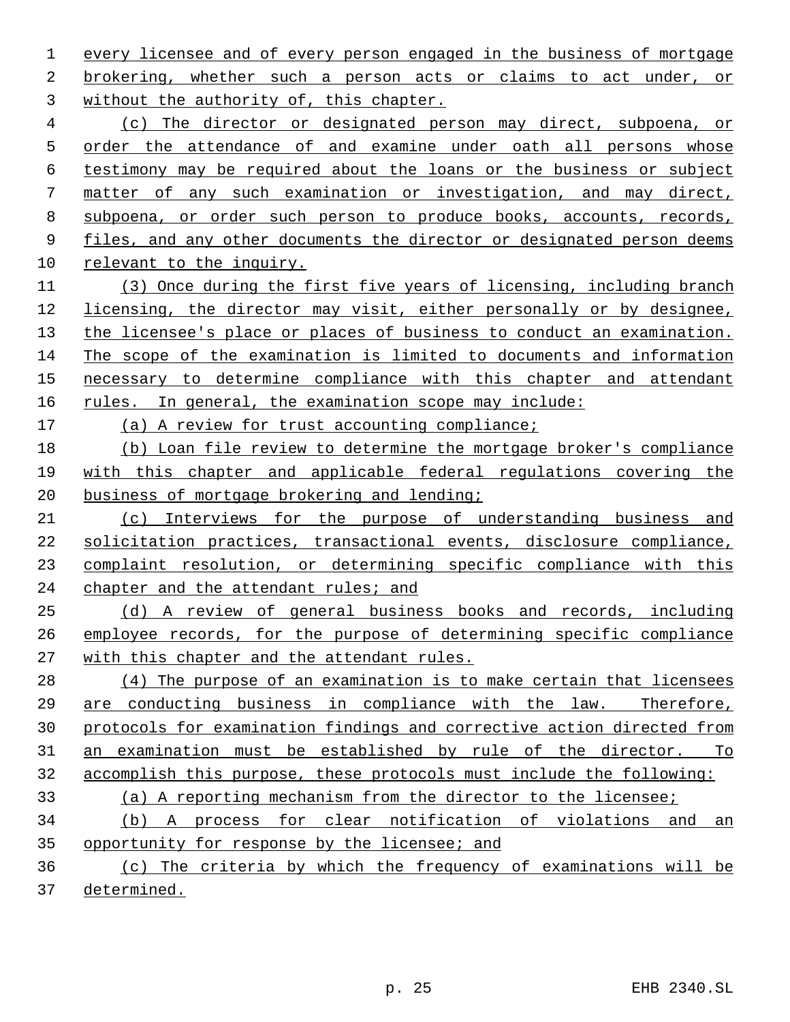every licensee and of every person engaged in the business of mortgage brokering, whether such a person acts or claims to act under, or without the authority of, this chapter.

 (c) The director or designated person may direct, subpoena, or order the attendance of and examine under oath all persons whose testimony may be required about the loans or the business or subject matter of any such examination or investigation, and may direct, subpoena, or order such person to produce books, accounts, records, files, and any other documents the director or designated person deems relevant to the inquiry.

 (3) Once during the first five years of licensing, including branch licensing, the director may visit, either personally or by designee, the licensee's place or places of business to conduct an examination. The scope of the examination is limited to documents and information necessary to determine compliance with this chapter and attendant 16 rules. In general, the examination scope may include:

(a) A review for trust accounting compliance;

 (b) Loan file review to determine the mortgage broker's compliance with this chapter and applicable federal regulations covering the business of mortgage brokering and lending;

 (c) Interviews for the purpose of understanding business and solicitation practices, transactional events, disclosure compliance, complaint resolution, or determining specific compliance with this 24 chapter and the attendant rules; and

 (d) A review of general business books and records, including employee records, for the purpose of determining specific compliance with this chapter and the attendant rules.

 (4) The purpose of an examination is to make certain that licensees are conducting business in compliance with the law. Therefore, protocols for examination findings and corrective action directed from an examination must be established by rule of the director. To accomplish this purpose, these protocols must include the following:

(a) A reporting mechanism from the director to the licensee;

 (b) A process for clear notification of violations and an opportunity for response by the licensee; and

 (c) The criteria by which the frequency of examinations will be determined.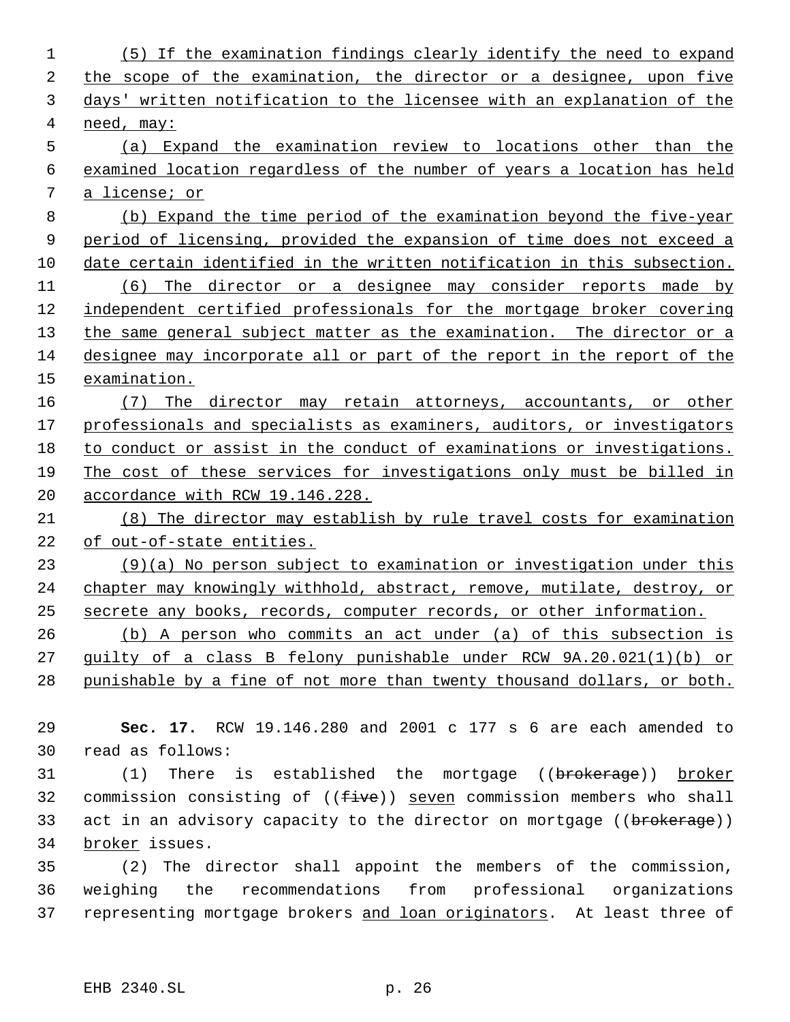| $\mathbf 1$ | (5) If the examination findings clearly identify the need to expand     |
|-------------|-------------------------------------------------------------------------|
| 2           | the scope of the examination, the director or a designee, upon five     |
| 3           | days' written notification to the licensee with an explanation of the   |
| 4           | need, may:                                                              |
| 5           | (a) Expand the examination review to locations other than the           |
| 6           | examined location regardless of the number of years a location has held |
| 7           | a license; or                                                           |
| 8           | (b) Expand the time period of the examination beyond the five-year      |
| 9           | period of licensing, provided the expansion of time does not exceed a   |
| 10          | date certain identified in the written notification in this subsection. |
| 11          | (6) The director or a designee may consider reports made by             |
| 12          | independent certified professionals for the mortgage broker covering    |
| 13          | the same general subject matter as the examination. The director or a   |
| 14          | designee may incorporate all or part of the report in the report of the |
| 15          | examination.                                                            |
| 16          | The director may retain attorneys, accountants, or other<br>(7)         |
| 17          | professionals and specialists as examiners, auditors, or investigators  |
| 18          | to conduct or assist in the conduct of examinations or investigations.  |
| 19          | The cost of these services for investigations only must be billed in    |
| 20          | accordance with RCW 19.146.228.                                         |
| 21          | (8) The director may establish by rule travel costs for examination     |
| 22          | of out-of-state entities.                                               |
| 23          | $(9)(a)$ No person subject to examination or investigation under this   |
| 24          | chapter may knowingly withhold, abstract, remove, mutilate, destroy, or |
| 25          | secrete any books, records, computer records, or other information.     |
| 26          | (b) A person who commits an act under (a) of this subsection is         |
| 27          | guilty of a class B felony punishable under RCW 9A.20.021(1)(b) or      |
| 28          | punishable by a fine of not more than twenty thousand dollars, or both. |
| 29          | Sec. 17. RCW 19.146.280 and 2001 c 177 s 6 are each amended to          |
| 30          | read as follows:                                                        |

31 (1) There is established the mortgage ((brokerage)) broker 32 commission consisting of ((five)) seven commission members who shall 33 act in an advisory capacity to the director on mortgage ((brokerage)) 34 broker issues.

 (2) The director shall appoint the members of the commission, weighing the recommendations from professional organizations 37 representing mortgage brokers and loan originators. At least three of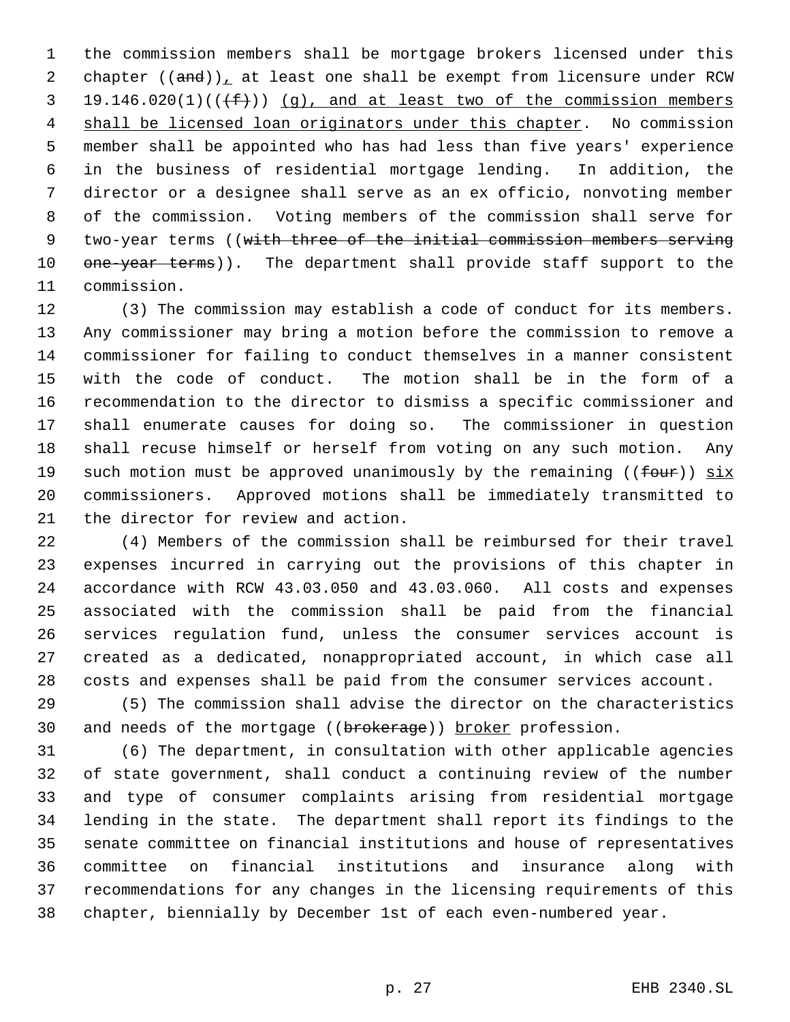the commission members shall be mortgage brokers licensed under this 2 chapter  $((and))_{\perp}$  at least one shall be exempt from licensure under RCW 19.146.020(1)(( $(f+)$ )) (g), and at least two of the commission members shall be licensed loan originators under this chapter. No commission member shall be appointed who has had less than five years' experience in the business of residential mortgage lending. In addition, the director or a designee shall serve as an ex officio, nonvoting member of the commission. Voting members of the commission shall serve for 9 two-year terms ((with three of the initial commission members serving 10 one-year terms)). The department shall provide staff support to the commission.

 (3) The commission may establish a code of conduct for its members. Any commissioner may bring a motion before the commission to remove a commissioner for failing to conduct themselves in a manner consistent with the code of conduct. The motion shall be in the form of a recommendation to the director to dismiss a specific commissioner and shall enumerate causes for doing so. The commissioner in question shall recuse himself or herself from voting on any such motion. Any 19 such motion must be approved unanimously by the remaining (( $f_{\text{out}}$ ))  $\overline{six}$  commissioners. Approved motions shall be immediately transmitted to the director for review and action.

 (4) Members of the commission shall be reimbursed for their travel expenses incurred in carrying out the provisions of this chapter in accordance with RCW 43.03.050 and 43.03.060. All costs and expenses associated with the commission shall be paid from the financial services regulation fund, unless the consumer services account is created as a dedicated, nonappropriated account, in which case all costs and expenses shall be paid from the consumer services account.

 (5) The commission shall advise the director on the characteristics 30 and needs of the mortgage ((brokerage)) broker profession.

 (6) The department, in consultation with other applicable agencies of state government, shall conduct a continuing review of the number and type of consumer complaints arising from residential mortgage lending in the state. The department shall report its findings to the senate committee on financial institutions and house of representatives committee on financial institutions and insurance along with recommendations for any changes in the licensing requirements of this chapter, biennially by December 1st of each even-numbered year.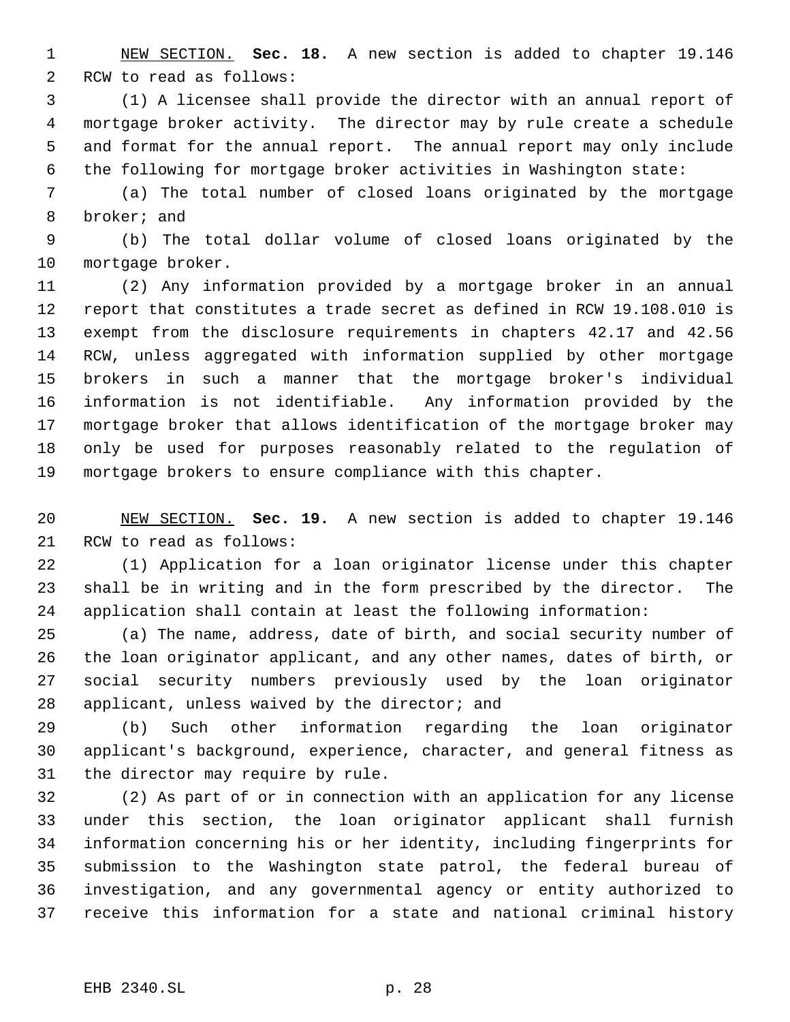NEW SECTION. **Sec. 18.** A new section is added to chapter 19.146 RCW to read as follows:

 (1) A licensee shall provide the director with an annual report of mortgage broker activity. The director may by rule create a schedule and format for the annual report. The annual report may only include the following for mortgage broker activities in Washington state:

 (a) The total number of closed loans originated by the mortgage broker; and

 (b) The total dollar volume of closed loans originated by the mortgage broker.

 (2) Any information provided by a mortgage broker in an annual report that constitutes a trade secret as defined in RCW 19.108.010 is exempt from the disclosure requirements in chapters 42.17 and 42.56 RCW, unless aggregated with information supplied by other mortgage brokers in such a manner that the mortgage broker's individual information is not identifiable. Any information provided by the mortgage broker that allows identification of the mortgage broker may only be used for purposes reasonably related to the regulation of mortgage brokers to ensure compliance with this chapter.

 NEW SECTION. **Sec. 19.** A new section is added to chapter 19.146 RCW to read as follows:

 (1) Application for a loan originator license under this chapter shall be in writing and in the form prescribed by the director. The application shall contain at least the following information:

 (a) The name, address, date of birth, and social security number of the loan originator applicant, and any other names, dates of birth, or social security numbers previously used by the loan originator applicant, unless waived by the director; and

 (b) Such other information regarding the loan originator applicant's background, experience, character, and general fitness as the director may require by rule.

 (2) As part of or in connection with an application for any license under this section, the loan originator applicant shall furnish information concerning his or her identity, including fingerprints for submission to the Washington state patrol, the federal bureau of investigation, and any governmental agency or entity authorized to receive this information for a state and national criminal history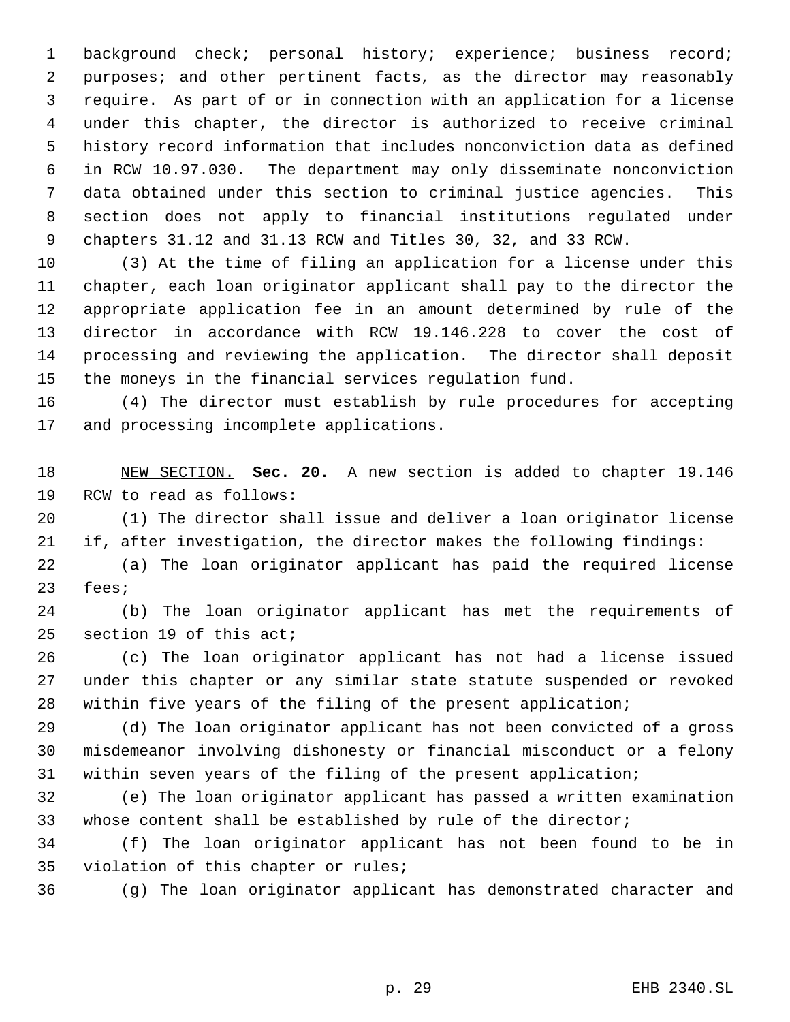background check; personal history; experience; business record; purposes; and other pertinent facts, as the director may reasonably require. As part of or in connection with an application for a license under this chapter, the director is authorized to receive criminal history record information that includes nonconviction data as defined in RCW 10.97.030. The department may only disseminate nonconviction data obtained under this section to criminal justice agencies. This section does not apply to financial institutions regulated under chapters 31.12 and 31.13 RCW and Titles 30, 32, and 33 RCW.

 (3) At the time of filing an application for a license under this chapter, each loan originator applicant shall pay to the director the appropriate application fee in an amount determined by rule of the director in accordance with RCW 19.146.228 to cover the cost of processing and reviewing the application. The director shall deposit the moneys in the financial services regulation fund.

 (4) The director must establish by rule procedures for accepting and processing incomplete applications.

 NEW SECTION. **Sec. 20.** A new section is added to chapter 19.146 RCW to read as follows:

 (1) The director shall issue and deliver a loan originator license if, after investigation, the director makes the following findings:

 (a) The loan originator applicant has paid the required license fees;

 (b) The loan originator applicant has met the requirements of section 19 of this act;

 (c) The loan originator applicant has not had a license issued under this chapter or any similar state statute suspended or revoked within five years of the filing of the present application;

 (d) The loan originator applicant has not been convicted of a gross misdemeanor involving dishonesty or financial misconduct or a felony within seven years of the filing of the present application;

 (e) The loan originator applicant has passed a written examination whose content shall be established by rule of the director;

 (f) The loan originator applicant has not been found to be in violation of this chapter or rules;

(g) The loan originator applicant has demonstrated character and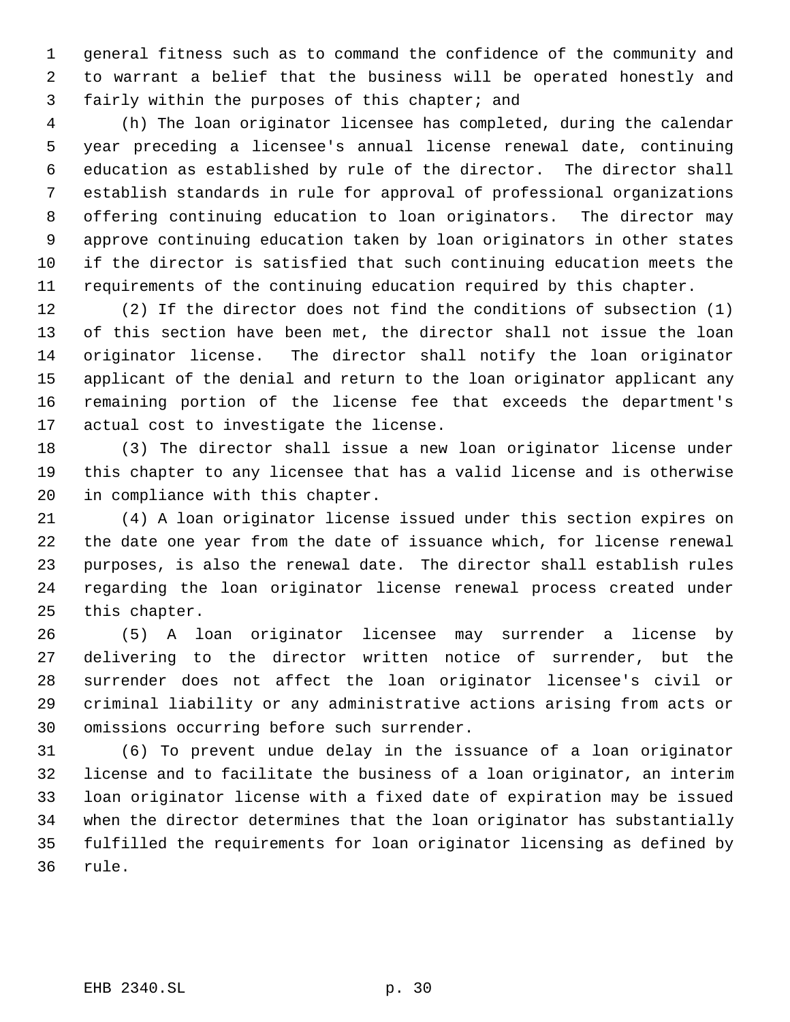general fitness such as to command the confidence of the community and to warrant a belief that the business will be operated honestly and fairly within the purposes of this chapter; and

 (h) The loan originator licensee has completed, during the calendar year preceding a licensee's annual license renewal date, continuing education as established by rule of the director. The director shall establish standards in rule for approval of professional organizations offering continuing education to loan originators. The director may approve continuing education taken by loan originators in other states if the director is satisfied that such continuing education meets the requirements of the continuing education required by this chapter.

 (2) If the director does not find the conditions of subsection (1) of this section have been met, the director shall not issue the loan originator license. The director shall notify the loan originator applicant of the denial and return to the loan originator applicant any remaining portion of the license fee that exceeds the department's actual cost to investigate the license.

 (3) The director shall issue a new loan originator license under this chapter to any licensee that has a valid license and is otherwise in compliance with this chapter.

 (4) A loan originator license issued under this section expires on the date one year from the date of issuance which, for license renewal purposes, is also the renewal date. The director shall establish rules regarding the loan originator license renewal process created under this chapter.

 (5) A loan originator licensee may surrender a license by delivering to the director written notice of surrender, but the surrender does not affect the loan originator licensee's civil or criminal liability or any administrative actions arising from acts or omissions occurring before such surrender.

 (6) To prevent undue delay in the issuance of a loan originator license and to facilitate the business of a loan originator, an interim loan originator license with a fixed date of expiration may be issued when the director determines that the loan originator has substantially fulfilled the requirements for loan originator licensing as defined by rule.